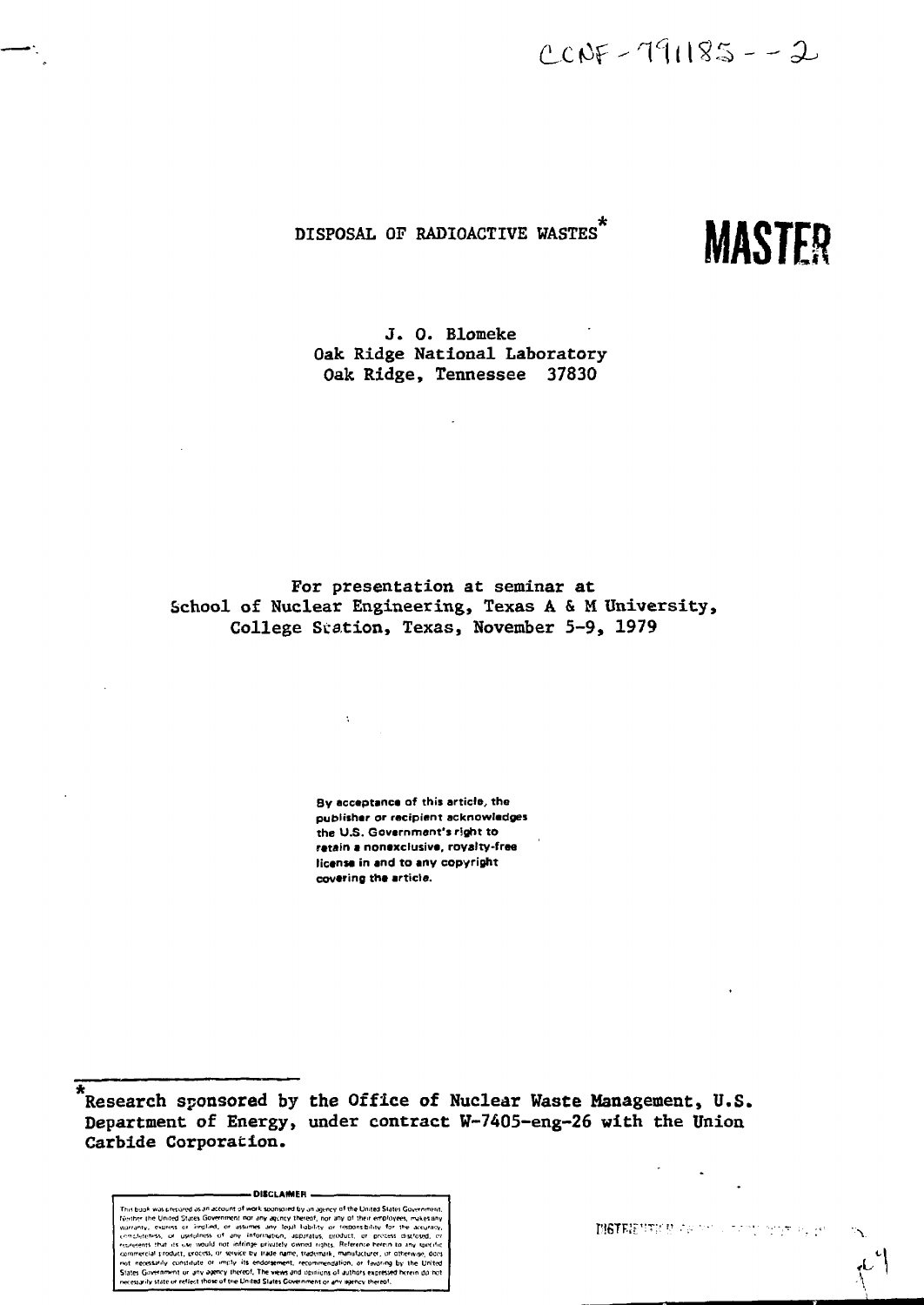$CCDF - 791185 - -2$ 

### DISPOSAL OF RADIOACTIVE WASTES

**MASTER** 

J. O. Blomeke Oak Ridge National Laboratory Oak Ridge, Tennessee 37830

For presentation at seminar at School of Nuclear Engineering, Texas A & M University, College Station, Texas, November 5-9, 1979

> By acceptance of this article, the publisher or recipient acknowledges the U.S. Government's right to retain a nonexclusive, royalty-free license in and to any copyright covering the article.

 $\ddot{\cdot}$ 

Research sponsored by the Office of Nuclear Waste Management, U.S. Department of Energy, under contract W-7405-eng-26 with the Union Carbide Corporation.

This back was between a an account of week successed by an apency of the brints States Government, Neither the United States Government nor any agency thereof, nor any of their embloyees, makes any computeriors, or unitati

- DISCLAMER -

 $\sim 100$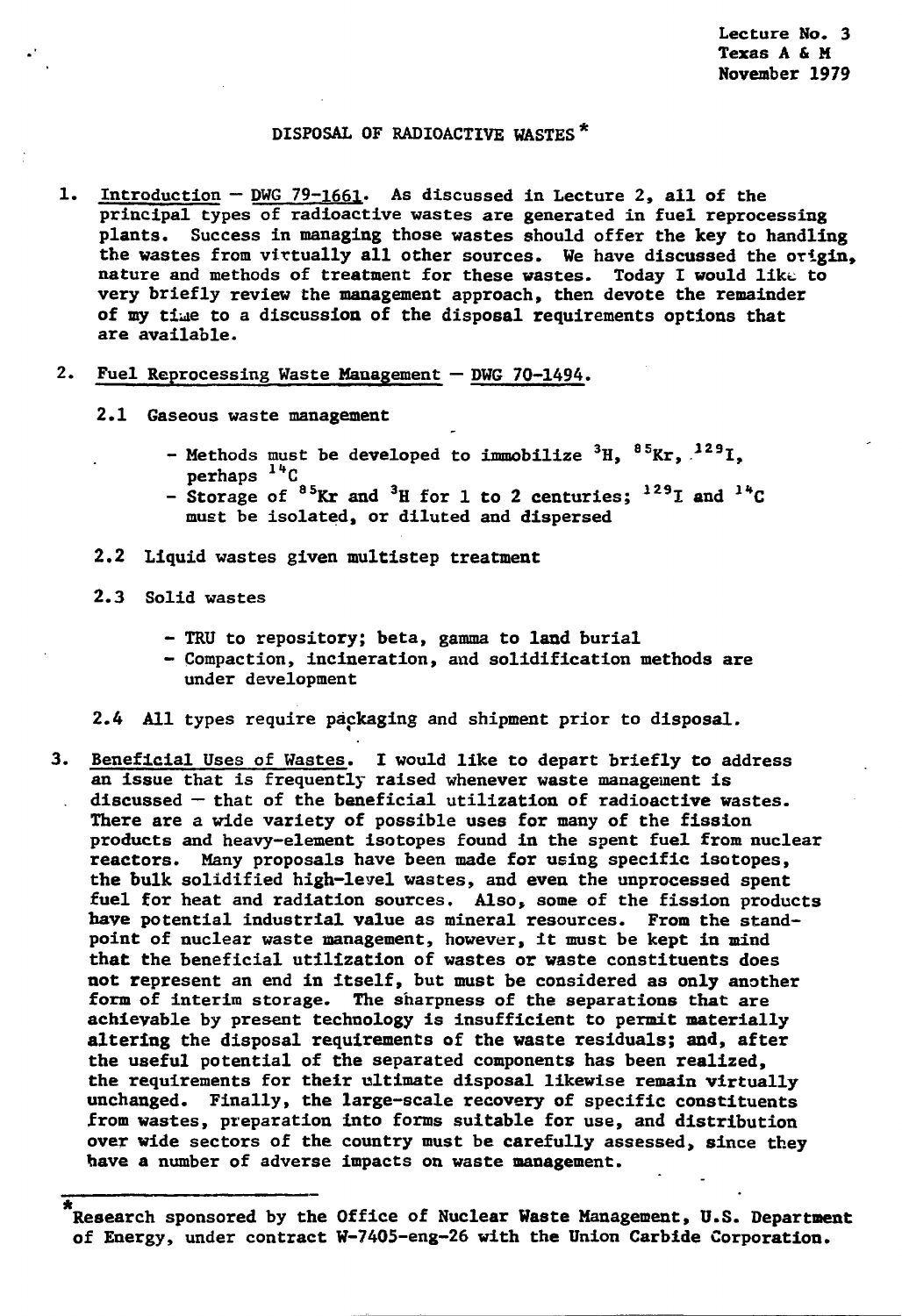#### **DISPOSAL OF RADIOACTIVE WASTES**

- **1. Introduction DWG 79-1661. As discussed in Lecture 2, all of the principal types of radioactive wastes are generated in fuel reprocessing plants. Success in managing those wastes should offer the key to handling the wastes from virtually all other sources. We have discussed the origin, nature and methods of treatment for these wastes. Today I would like; to very briefly review the management approach, then devote the remainder of my time to a discussion of the disposal requirements options that are available.**
- **2. Fuel Reprocessing Waste Management DWG 70-1494.**

**2.1 Gaseous waste management**

- **Methods must be developed to immobilize <sup>3</sup>H, a5Kr, i29 I , perhaps <sup>14</sup>C**
- Storage of  $^{85}$ Kr and  $^{3}$ H for 1 to 2 centuries;  $^{129}$ I and  $^{14}$ **must be isolated, or diluted and dispersed**
- **2.2 Liquid wastes given multistep treatment**
- **2.3 Solid wastes**
	- **TRU to repository; beta, gamma to land burial**
	- **Compaction, incineration, and solidification methods are under development**
- **2.4 All types require packaging and shipment prior to disposal.**
- **3. Beneficial Uses of Wastes. I would like to depart briefly to address an issue that is frequently raised whenever waste management is . discussed — that of the beneficial utilization of radioactive wastes. There are a wide variety of possible uses for many of the fission products and heavy-element isotopes found in the spent fuel from nuclear reactors. Many proposals have been made for using specific isotopes, the bulk solidified high-level wastes, and even the unprocessed spent fuel for heat and radiation sources. Also, some of the fission products have potential industrial value as mineral resources. From the standpoint of nuclear waste management, however, it must be kept in mind that the beneficial utilization of wastes or waste constituents does not represent an end in itself, but must be considered as only another form of interim storage. The sharpness of the separations that are achievable by present technology is insufficient to permit materially altering the disposal requirements of the waste residuals; and, after the useful potential of the separated components has been realized, the requirements for their ultimate disposal likewise remain virtually unchanged. Finally, the large-scale recovery of specific constituents from wastes, preparation into forms suitable for use, and distribution over wide sectors of the country must be carefully assessed, since they have a number of adverse impacts on waste management.**

**Research sponsored by the Office of Nuclear Waste Management, U.S. Department of Energy, under contract W-7405-eng-26 with the Union Carbide Corporation.**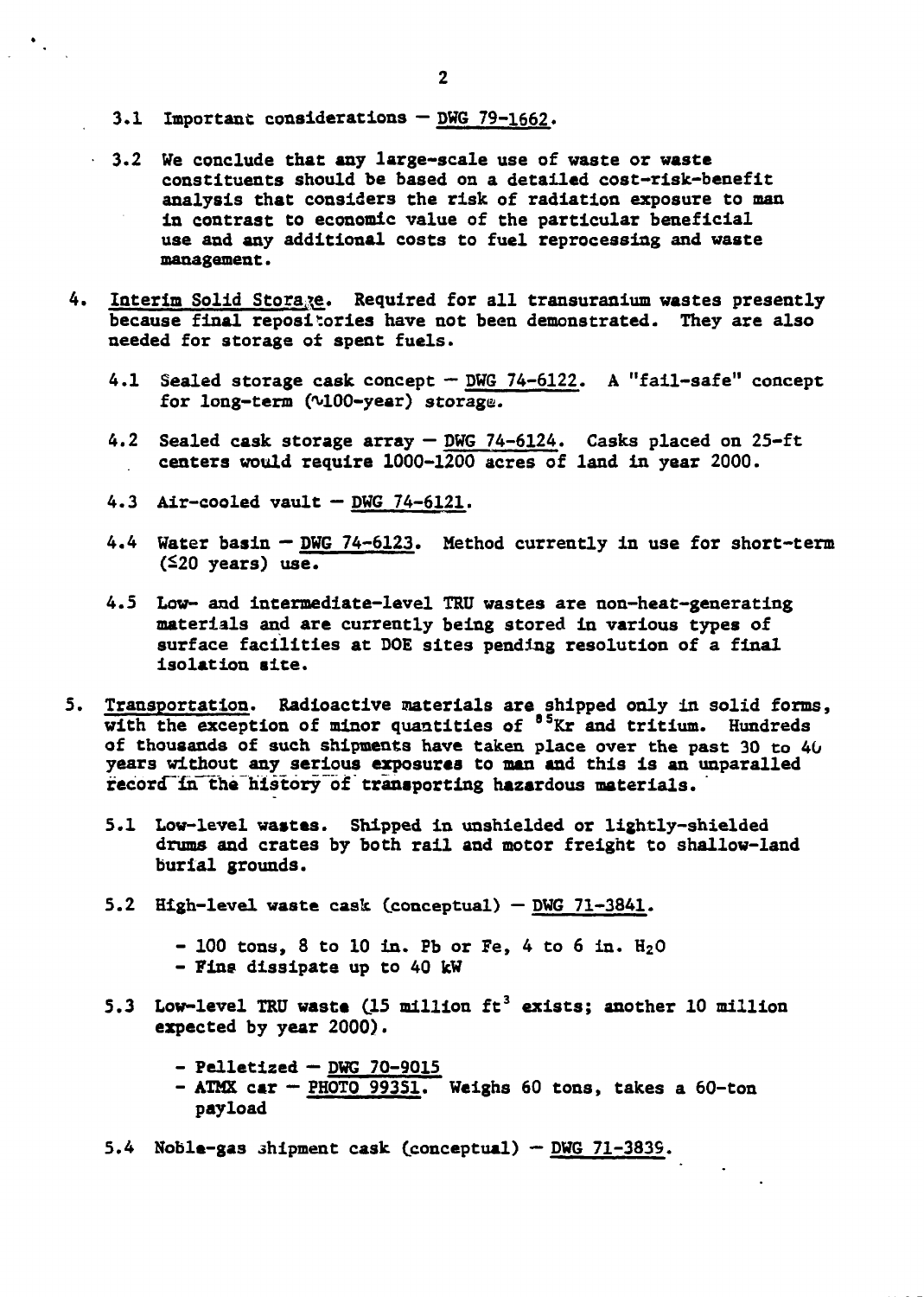- **3.1 Important considerations DWG 79-1662.**
- **3.2 We conclude that any large-scale use of waste or waste constituents should be based on a detailed cost-risk-benefit analysis that considers the risk of radiation exposure to man in contrast to economic value of the particular beneficial use and any additional costs to fuel reprocessing and waste management.**
- **4. Interim Solid Stora.se. Required for all transuranium wastes presently because final repositories have not been demonstrated. They are also needed for storage of spent fuels.**
	- **4.1 Sealed storage cask concept DWG 74-6122. A "fail-safe" concept for long-term (M.00-year) storage.**
	- **4.2 Sealed cask storage array DWG 74-6124. Casks placed on 25-ft centers would require 1000-1200 acres of land in year 2000.**
	- **4.3 Air-cooled vault DWG 74-6121.**
	- **4.4 Water basin DWG 74-6123. Method currently in use for short-term (^20 years) use.**
	- **4.5 Low- and intermediate-level TRU wastes are non-heat-generating materials and are currently being stored in various types of surface facilities at DOE sites pending resolution of a final isolation site.**
- **5. Transportation. Radioactive materials are shipped only in solid forms,** with the exception of minor quantities of <sup>55</sup>Kr and tritium. Hundreds **of thousands of such shipments have taken place over the past 30 to 40 years without any serious exposures to man and this is an unparalled record~in~the history"of transporting hazardous materials.**
	- **5.1 Low-level wastes. Shipped in unshielded or lightly-shielded drums and crates by both rail and motor freight to shallow-land burial grounds.**
	- **5.2 High-level waste cask (conceptual) DWG 71-3841.**
		- **100 tons, 8 to 10 in. Pb or Fe, 4 to 6 in. H20 - Fin? dissipate up to 40 kW**
	- **5.3 Low-level TRU waste (15 million ft<sup>3</sup> exists; another 10 million expected by year 2000).**
		- **Pelletized DWG 70-9015 - ATMX car — PHOTO 99351. Weighs 60 tons, takes a 60-ton payload**
	- **5.4 Noble-gas .shipment cask (conceptual) DWG 71-3839.**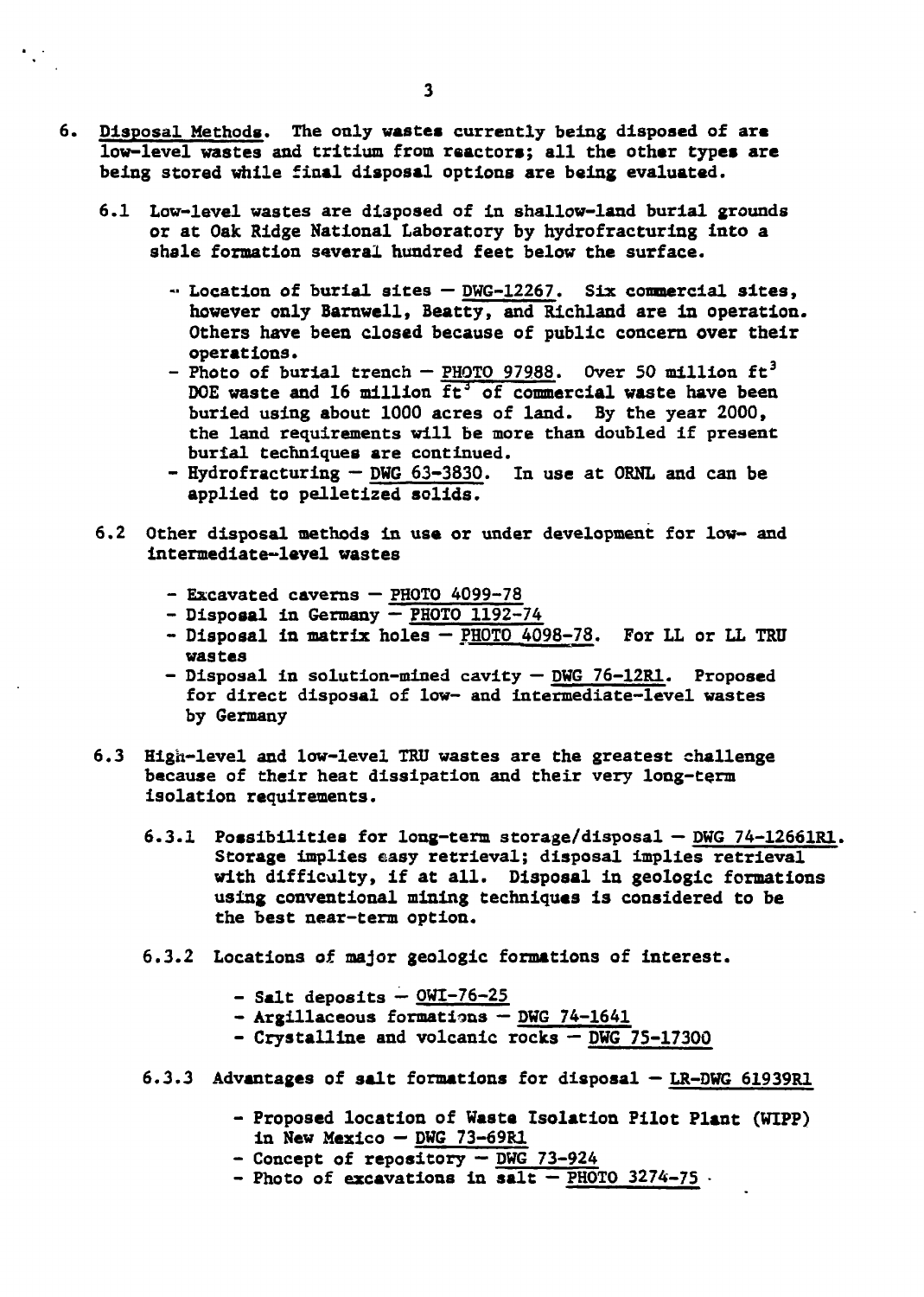- **6. Disposal Methods. The only wastes currently being disposed of ar« low-level wastes and tritium from reactors; all the other types are being stored while final disposal options are being evaluated.**
	- **6.1 Low-level wastes are disposed of in shallow-land burial grounds or at Oak Ridge National Laboratory by hydrofracturing into a shale formation several hundred feet below the surface.**
		- **-• Location of burial sites DWG-12267. Six commercial sites, however only Barnwell, Beatty, and Richland are in operation. Others have been closed because of public concern over their operations.**
		- **Photo of burial trench PHOTO 97988. Over 50 million ft<sup>3</sup> DOE waste and 16 million ft\* of commercial waste have been buried using about 1000 acres of land. By the year 2000, the land requirements will be more than doubled if present burial techniques are continued.**
		- **Hydrofracturing DWG 63-3830. In use at ORNL and can be applied to pelletized solids.**
	- **6.2 Other disposal methods in use or under development for low- and intermediate-level wastes**
		- **Excavated caverns PHOTO 4099-78**
		- **Disposal in Germany PHOTO 1192-74**
		- **Disposal in matrix holes PHOTO 4098-78. For LL or LL TRU wastes**
		- **Disposal in solution-mined cavity DWG 76-12R1. Proposed for direct disposal of low- and intermediate-level wastes by Germany**
	- **6.3 High-level and low-level TRU wastes are the greatest challenge because of their heat dissipation and their very long-term isolation requirements.**
		- **6.3.1 Possibilities for long-term storage/disposal DWG 74-12661R1. Storage implies easy retrieval; disposal implies retrieval with difficulty, if at all. Disposal in geologic formations using conventional mining techniques is considered to be the best near-term option.**
		- **6.3.2 Locations of major geologic formations of interest.**
			- **Salt deposits OWI-76-25**
			- **Argillaceous formations DWG 74-1641**
			- **Crystalline and volcanic rocks DWG 75-17300**
		- **6.3.3 Advantages of salt formations for disposal LR-DWG 61939R1**
			- **Proposed location of Waste Isolation Pilot Plant (WIPP) in New Mexico - DWG 73-69R1**
			- **Concept of repository DWG 73-924**
			- **Photo of excavations in salt PHOTO 3274-75 -**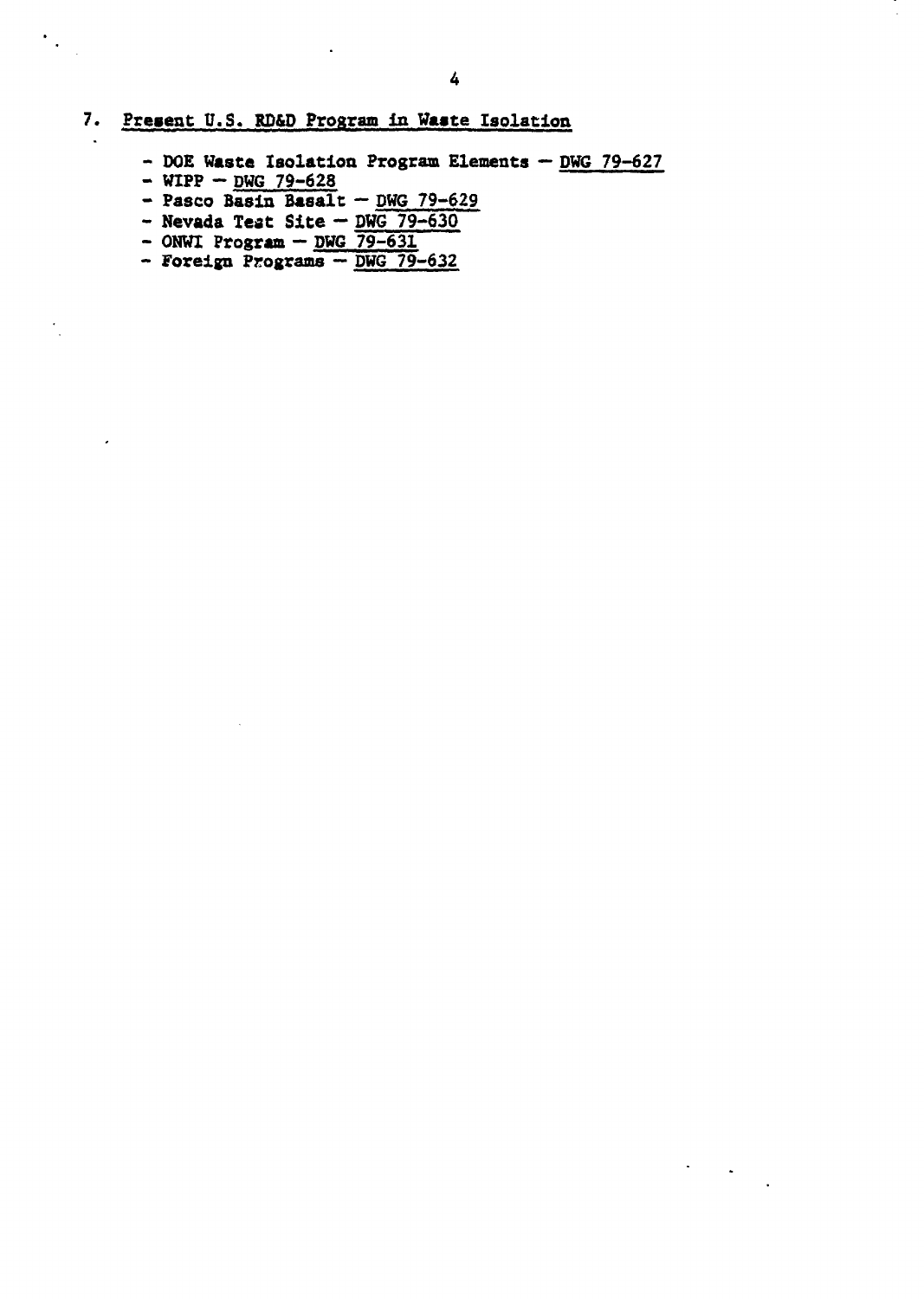### 7. Present U.S. RD&D Program in Waste Isolation

- **DOE Waste Isolation Program Elements DWG 79-627**
- **WIPP DWG 79-628**

 $\hat{\gamma}_{\alpha}$ 

- **Pasco Basin Basalt DWG 79-629**
- **Nevada Teat Site DWG 79-630**
- **ONWI Program DWG 79-631**
- **Foreign Programs DWG 79-632**

 $\mathcal{O}(\mathcal{O}(\log n))$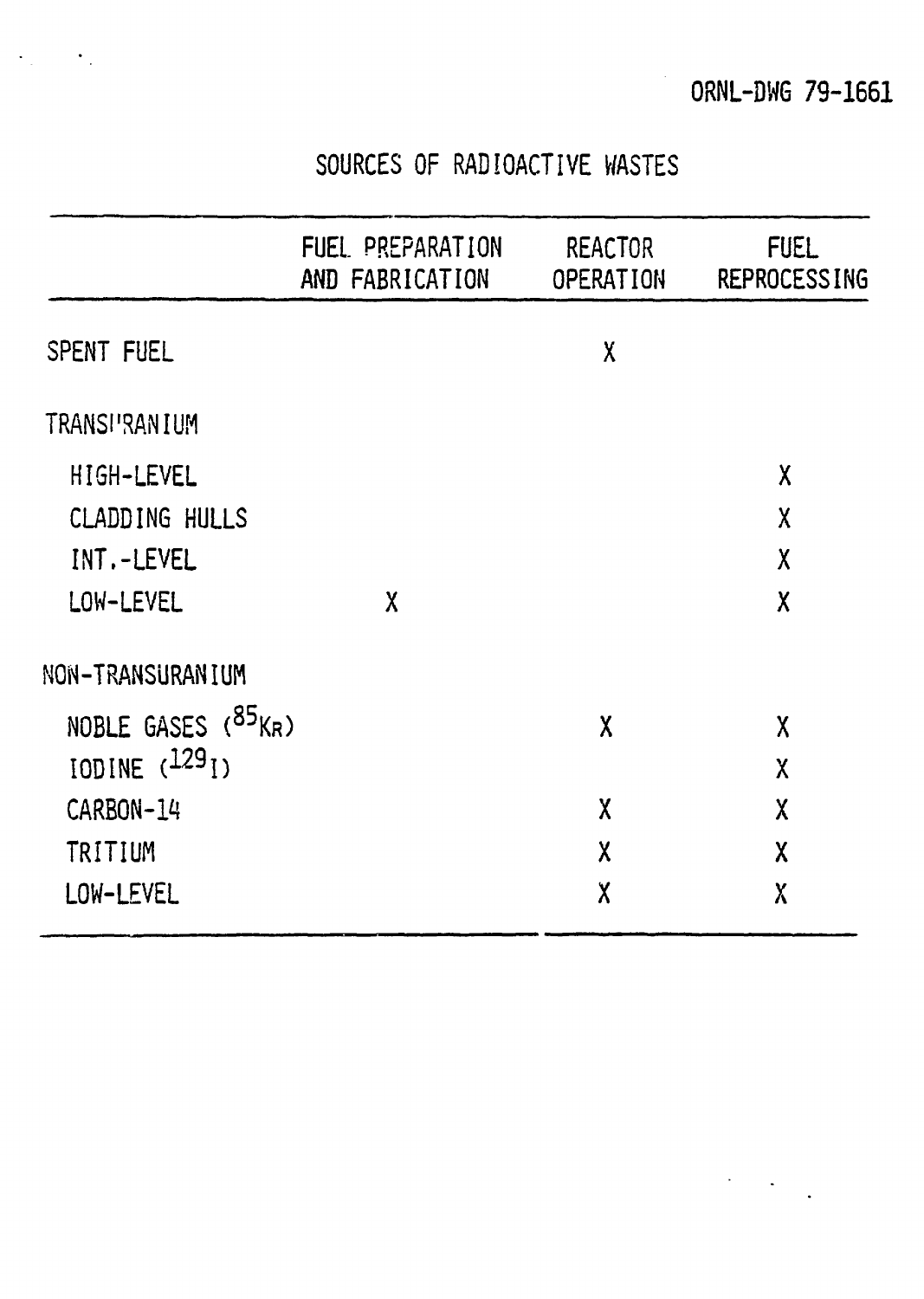# **SOURCES OF RADIOACTIVE WASTES**

 $\ddot{\phantom{0}}$  .

|                                | FUEL PREPARATION<br>AND FABRICATION | <b>REACTOR</b><br><b>OPERATION</b> | <b>FUEL</b><br><b>REPROCESSING</b> |
|--------------------------------|-------------------------------------|------------------------------------|------------------------------------|
| SPENT FUEL                     |                                     | X                                  |                                    |
| TRANSI'RANIUM                  |                                     |                                    |                                    |
| <b>HIGH-LEVEL</b>              |                                     |                                    | X                                  |
| <b>CLADDING HULLS</b>          |                                     |                                    | X                                  |
| INT.-LEVEL                     |                                     |                                    | X                                  |
| LOW-LEVEL                      | $\mathsf{X}$                        |                                    | X                                  |
| NON-TRANSURANIUM               |                                     |                                    |                                    |
| NOBLE GASES (85 <sub>KR)</sub> |                                     | $\boldsymbol{X}$                   | X                                  |
| IODINE (1291)                  |                                     |                                    | $\boldsymbol{\chi}$                |
| CARBON-14                      |                                     | $\boldsymbol{X}$                   | X                                  |
| TRITIUM                        |                                     | $\boldsymbol{X}$                   | X                                  |
| LOW-LEVEL                      |                                     | Χ                                  | X                                  |

**1**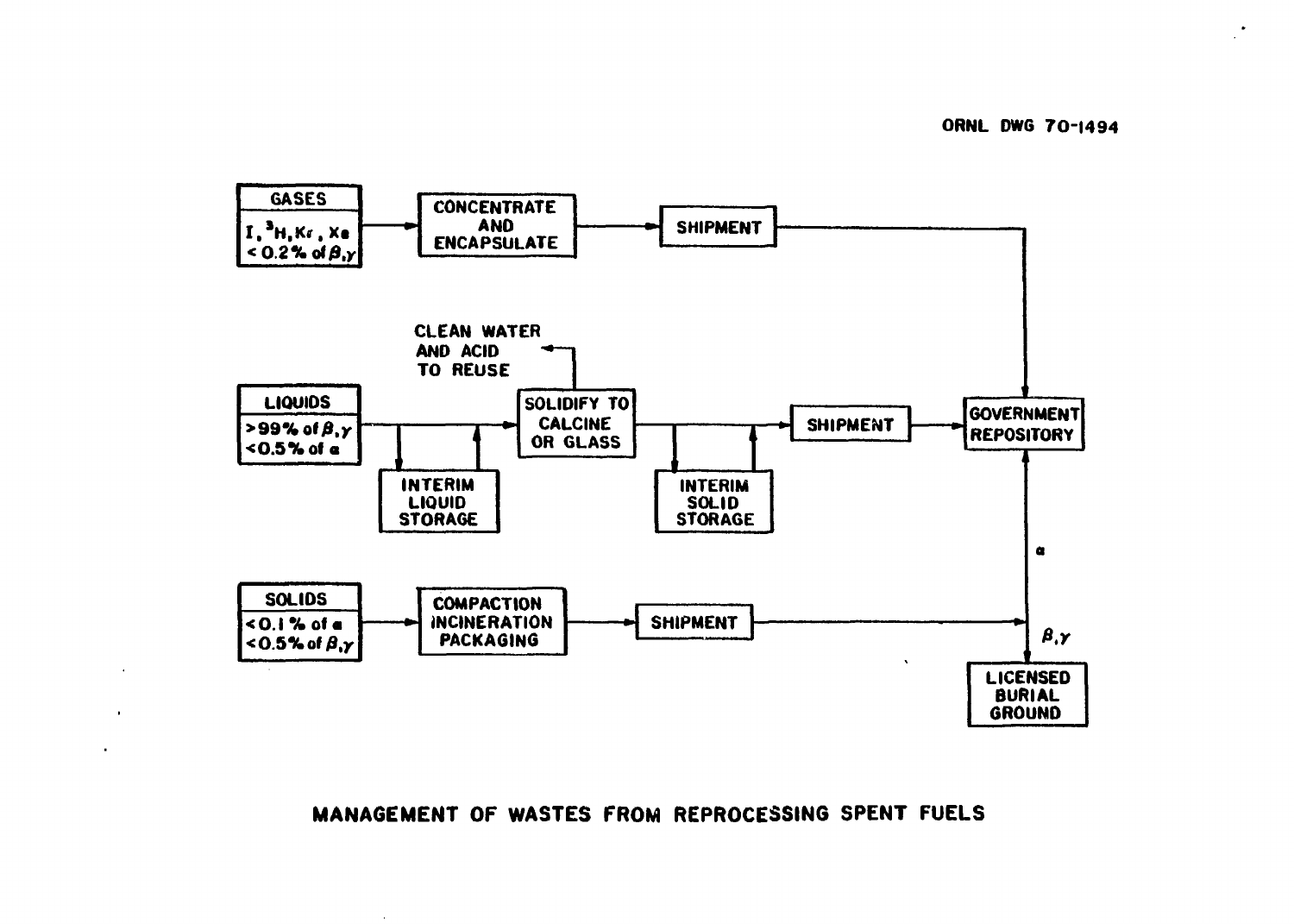$\bullet$ 



MANAGEMENT OF WASTES FROM REPROCESSING SPENT FUELS

 $\sim$ 

 $\mathbf{r}$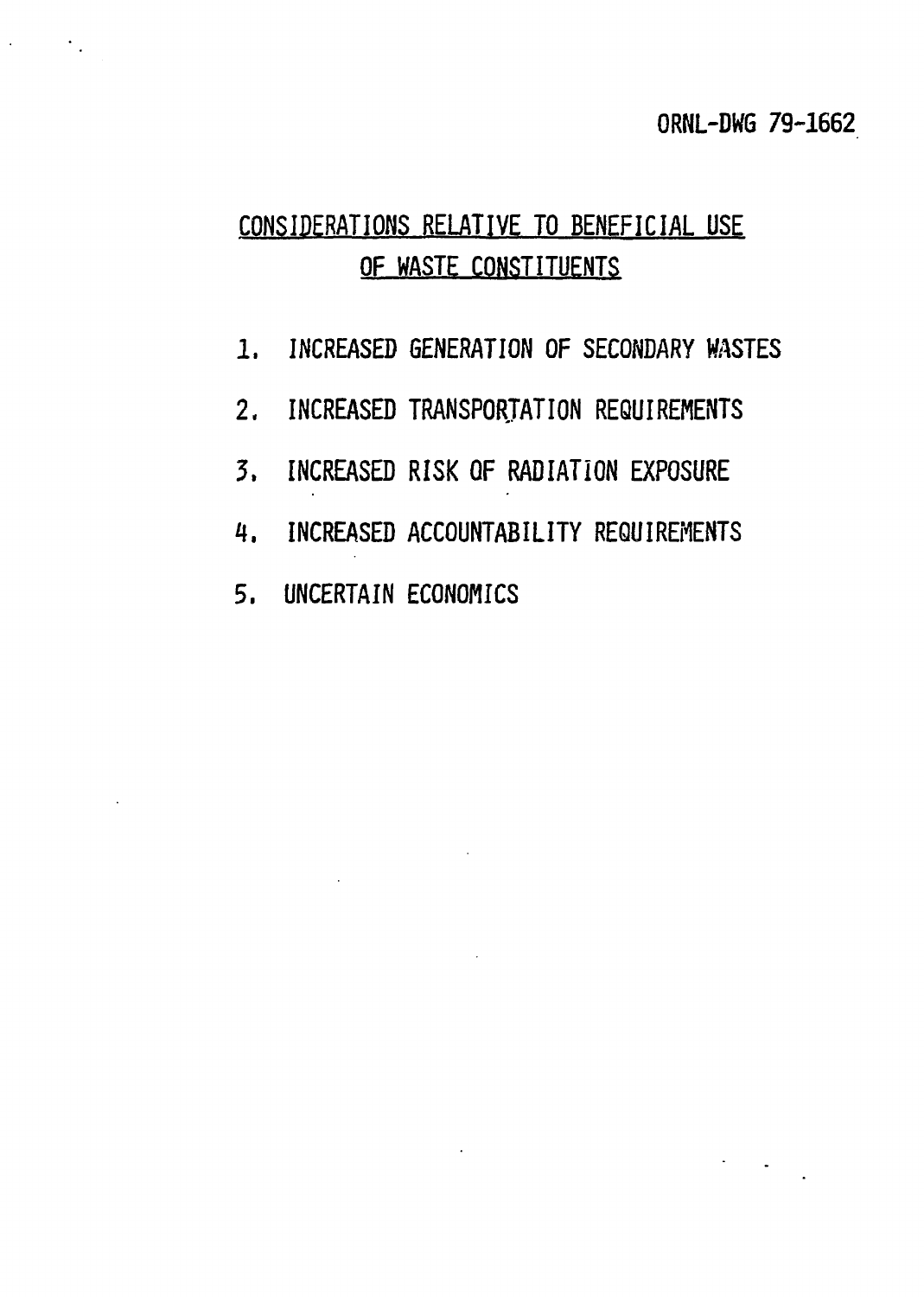$\mathcal{L}_{\text{max}}$  .

# **CONSIDERATIONS RELATIVE TO BENEFICIAL USE OF WASTE CONSTITUENTS**

- 1. INCREASED GENERATION OF SECONDARY WASTES
- **2. INCREASED TRANSPORTATION REQUIREMENTS**
- **3. INCREASED RISK QF RADIATION EXPOSURE**
- **4. INCREASED ACCOUNTABILITY REQUIREMENTS**
- **5. UNCERTAIN ECONOMICS**

 $\mathcal{F}_{\mathcal{A}}$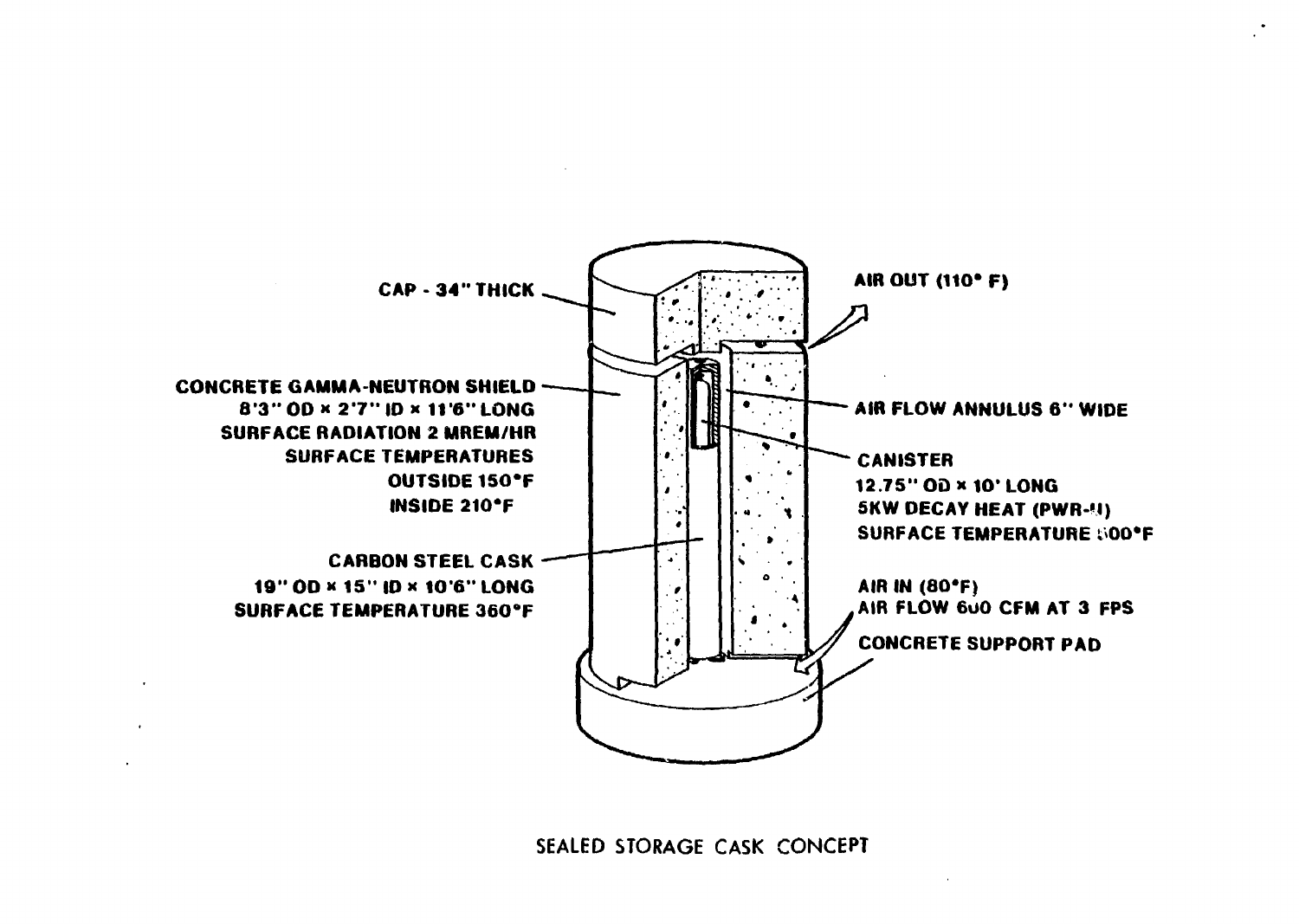#### **SEALED STORAGE CASK CONCEPT**

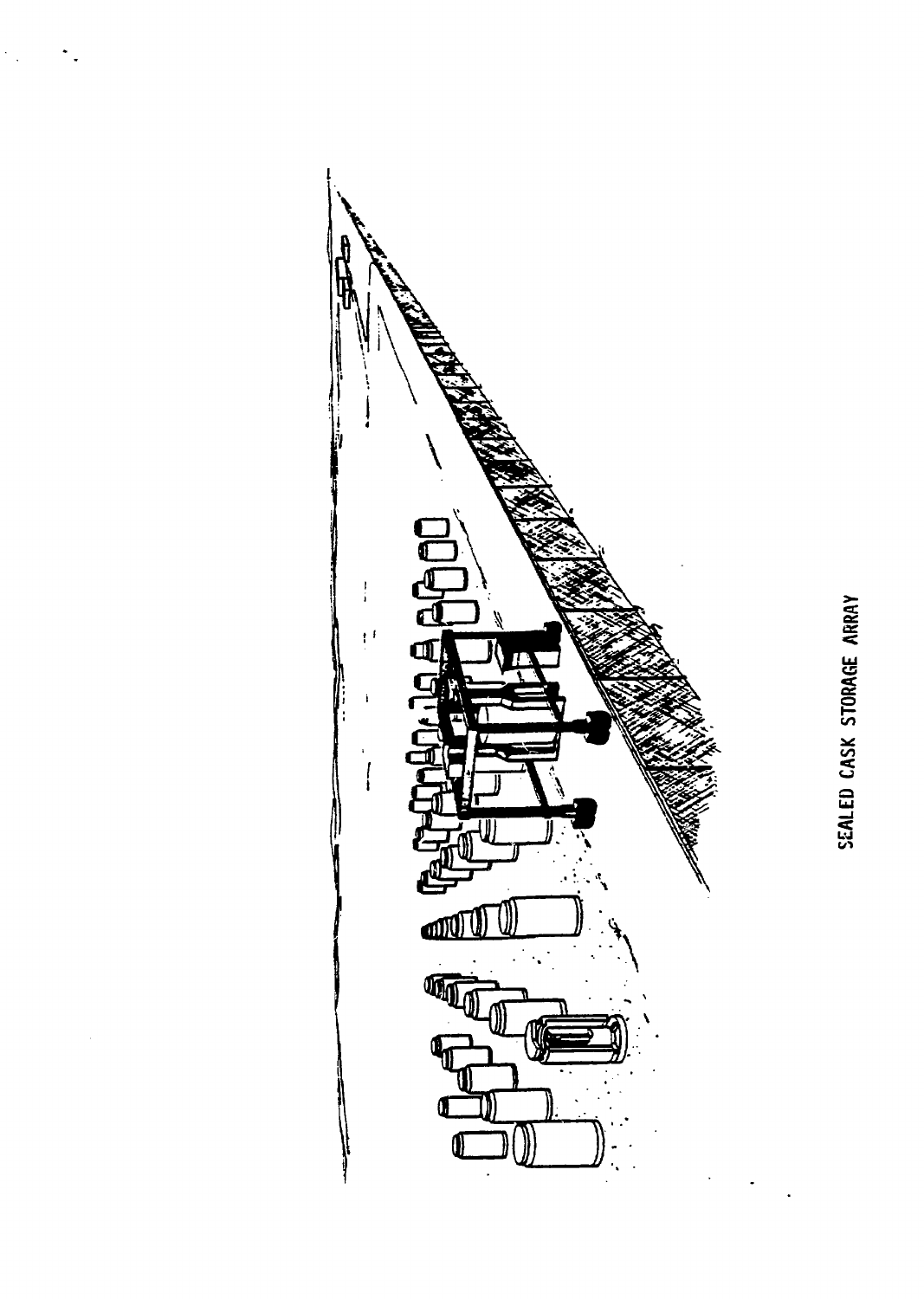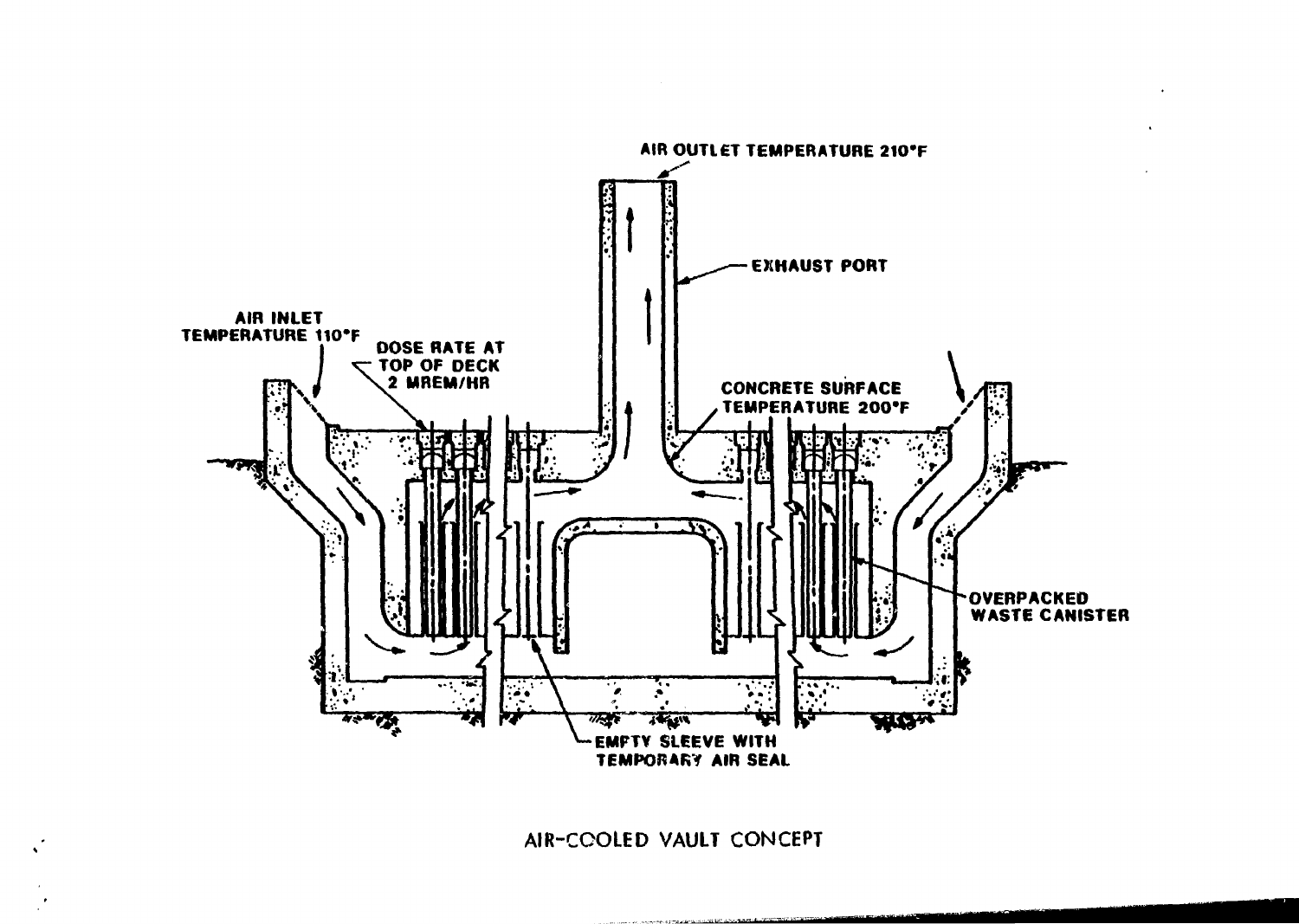

**AIR-COOLED VAULT CONCEPT**

some med a tring wider to a trial till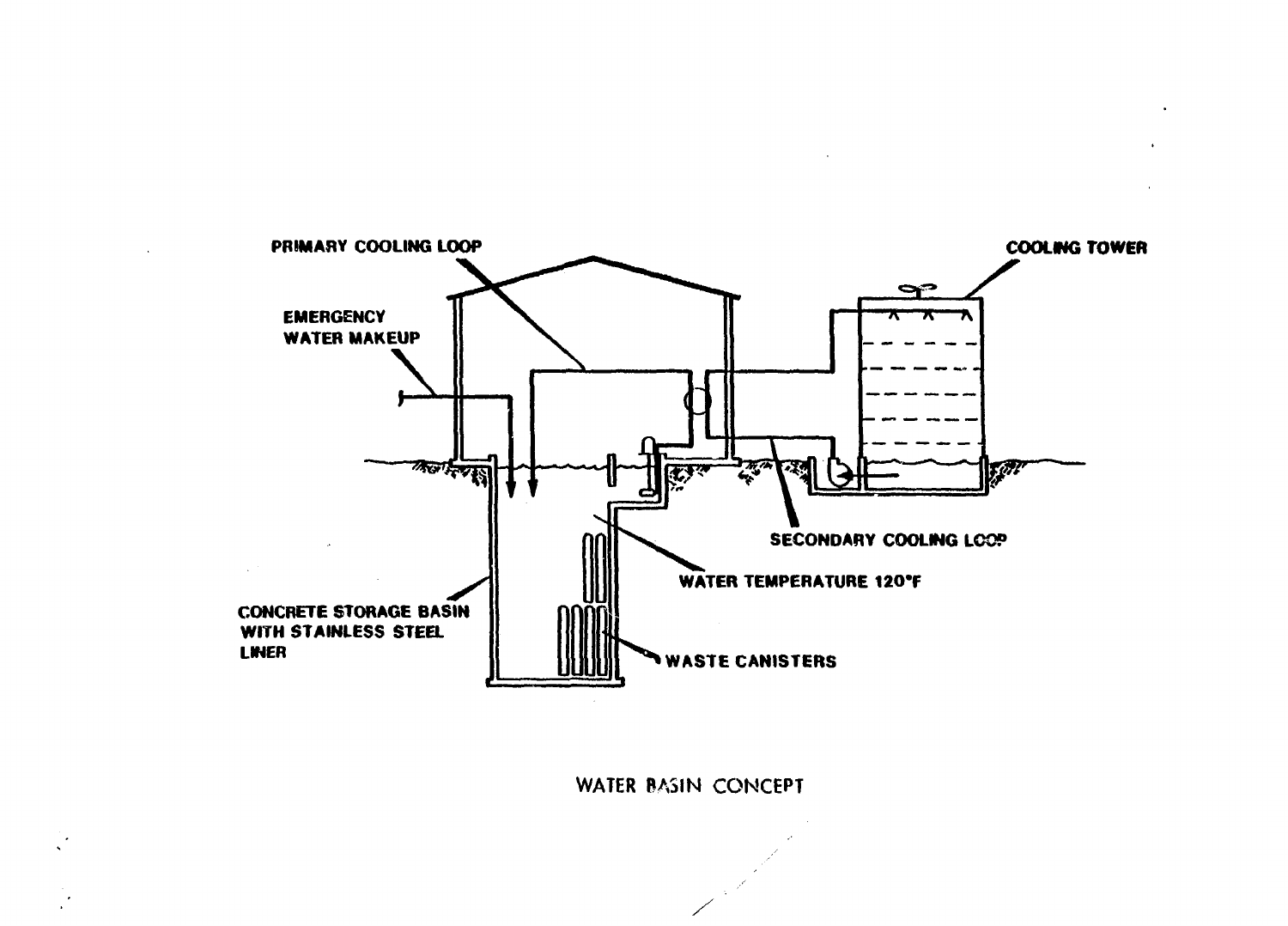

**WATER BASIN CONCEPT**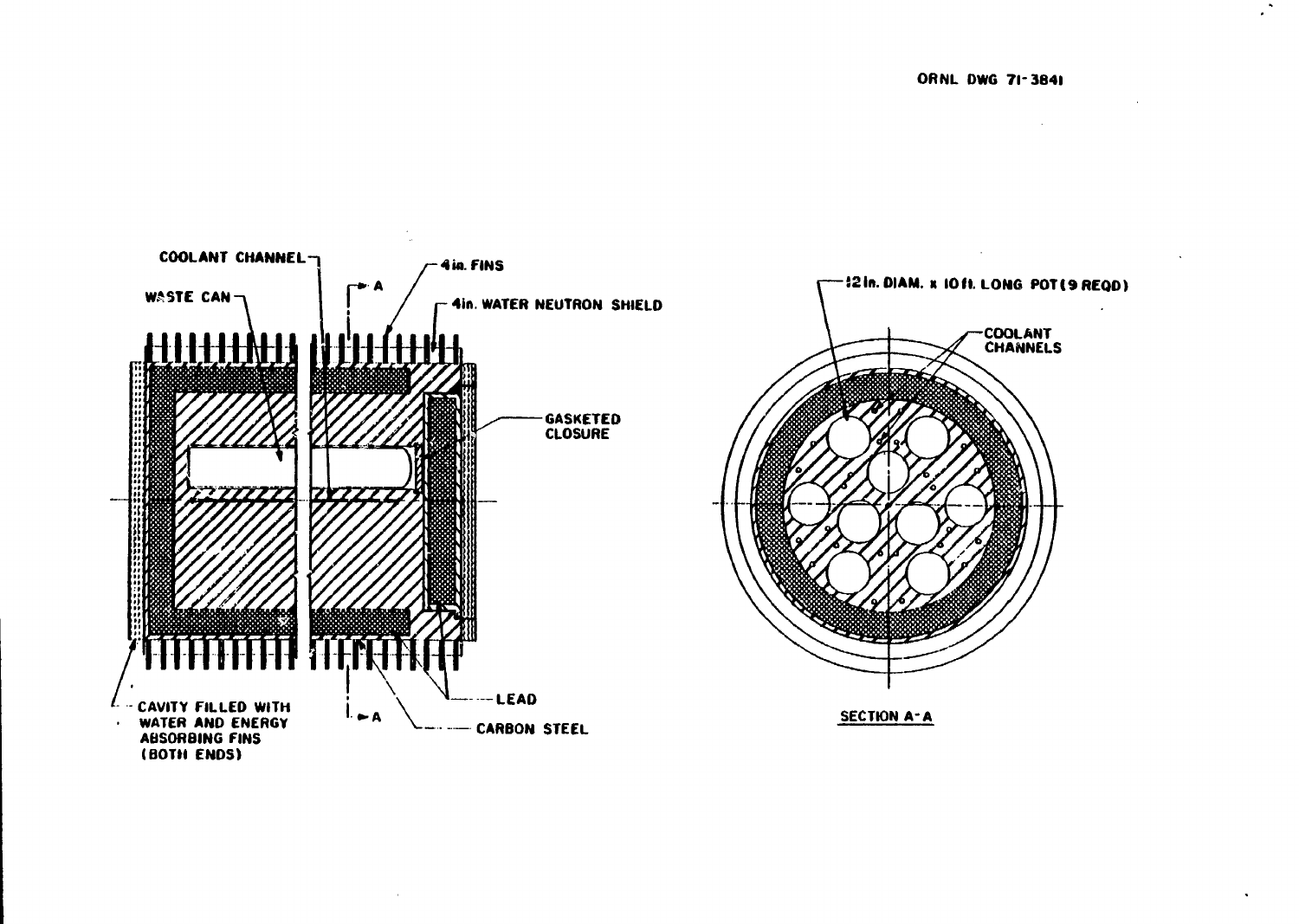$\mathcal{L}^{\bullet}$ 

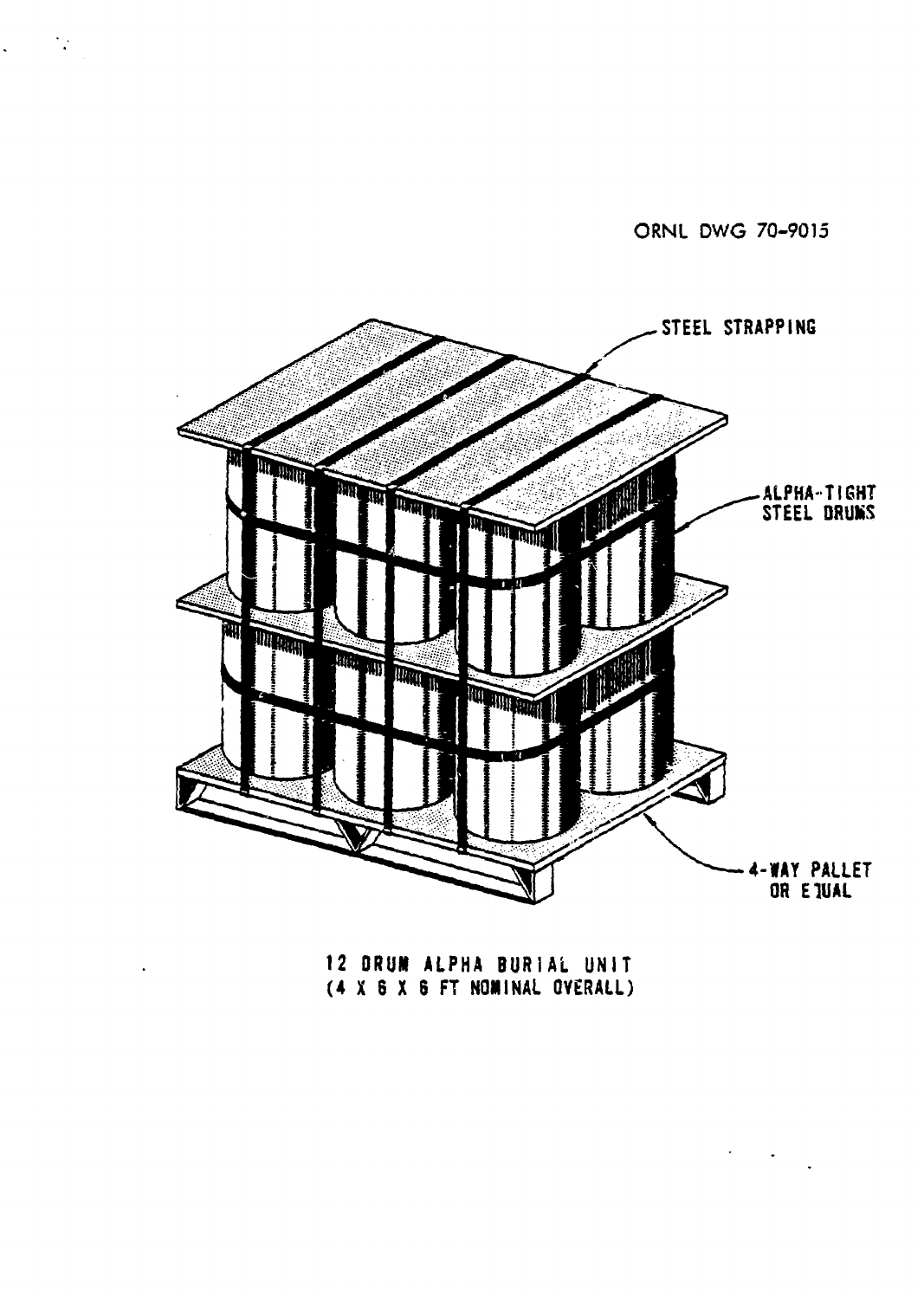

 $\ddot{\phi}$ 

 $\overline{a}$ 

**12 DRUM ALPHA BURIAL UNIT (4 X 8 X 6 FT NOMINAL OVERALL)**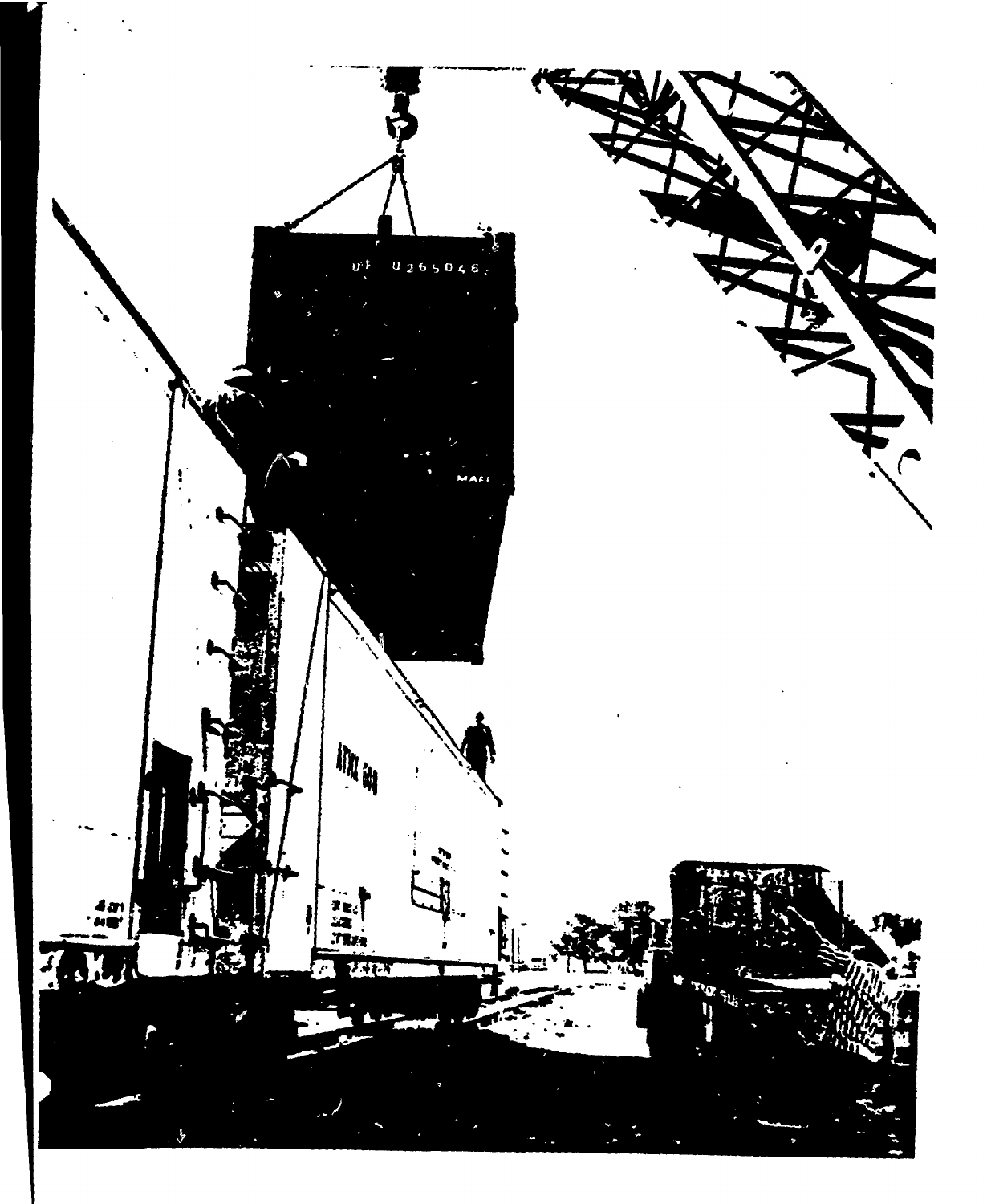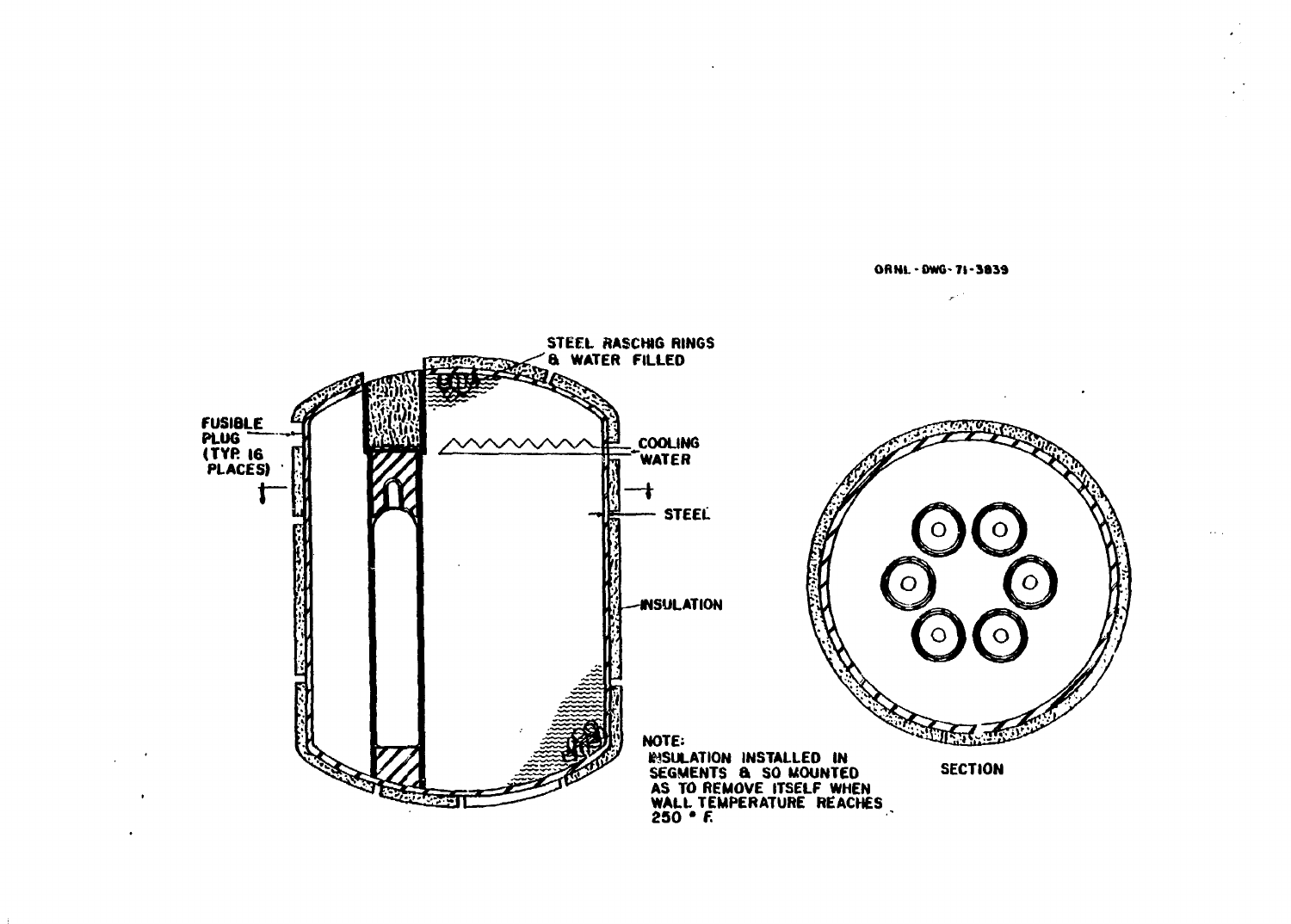

 $\bullet$ 

ORNL - DWG-71-3839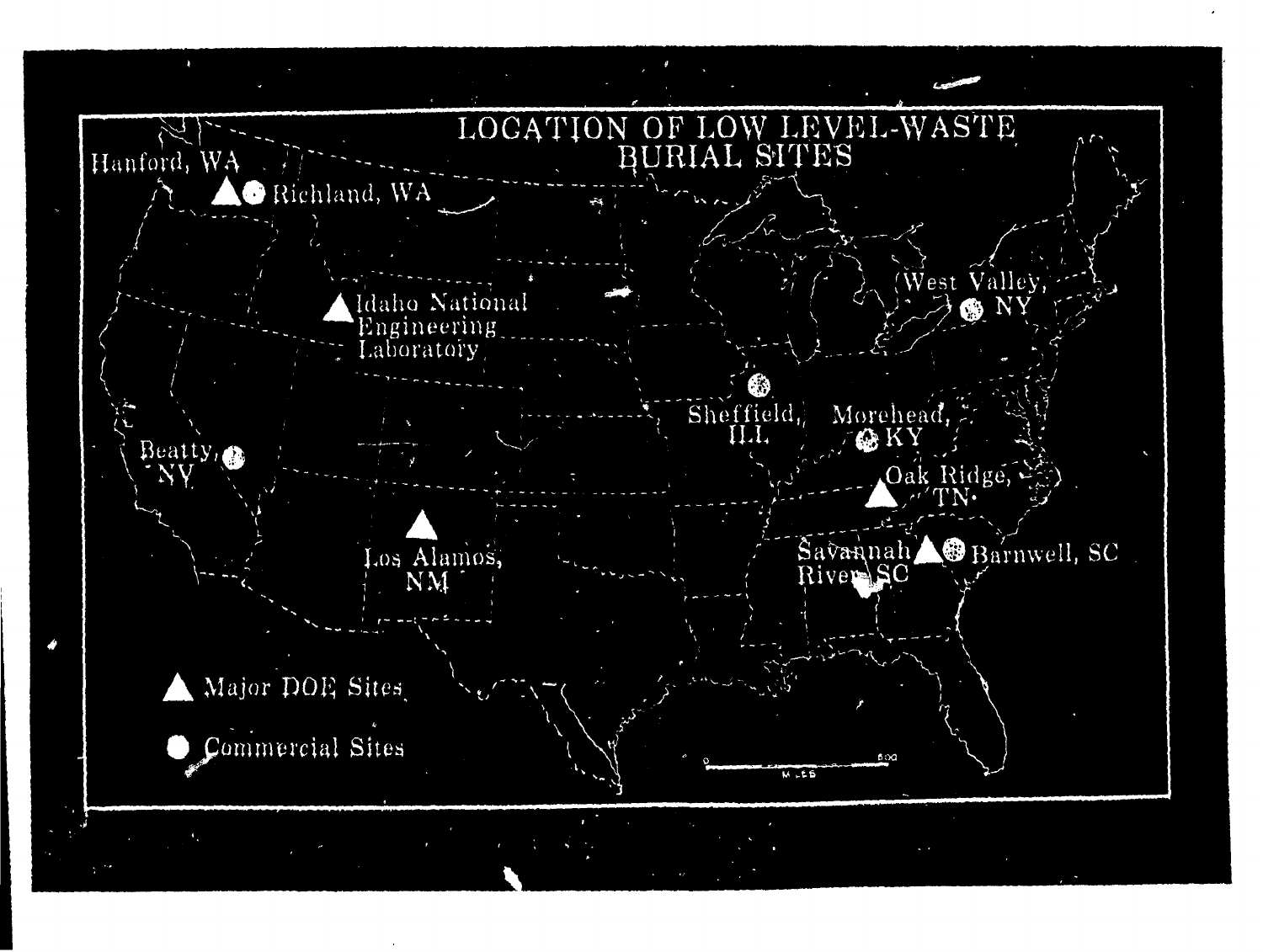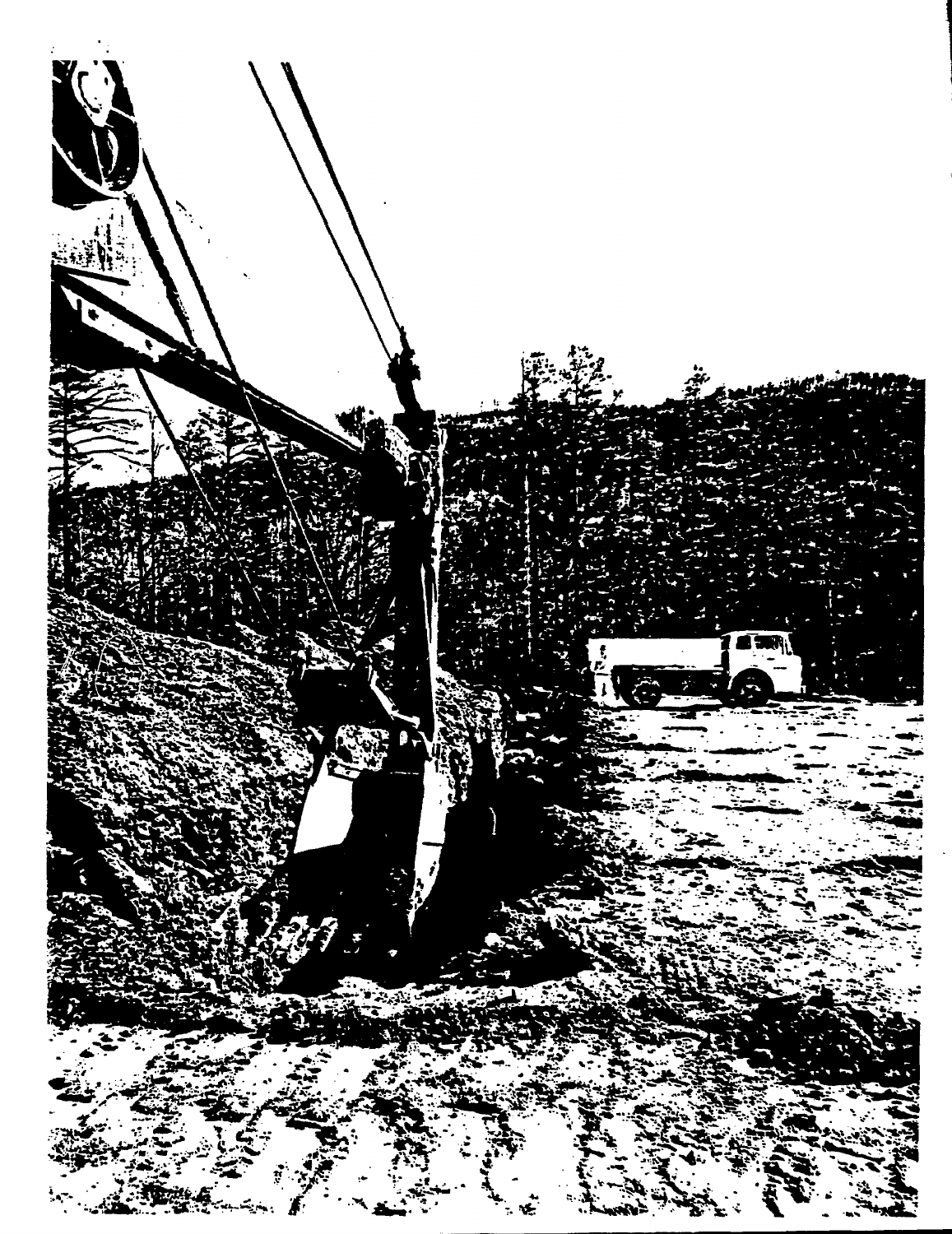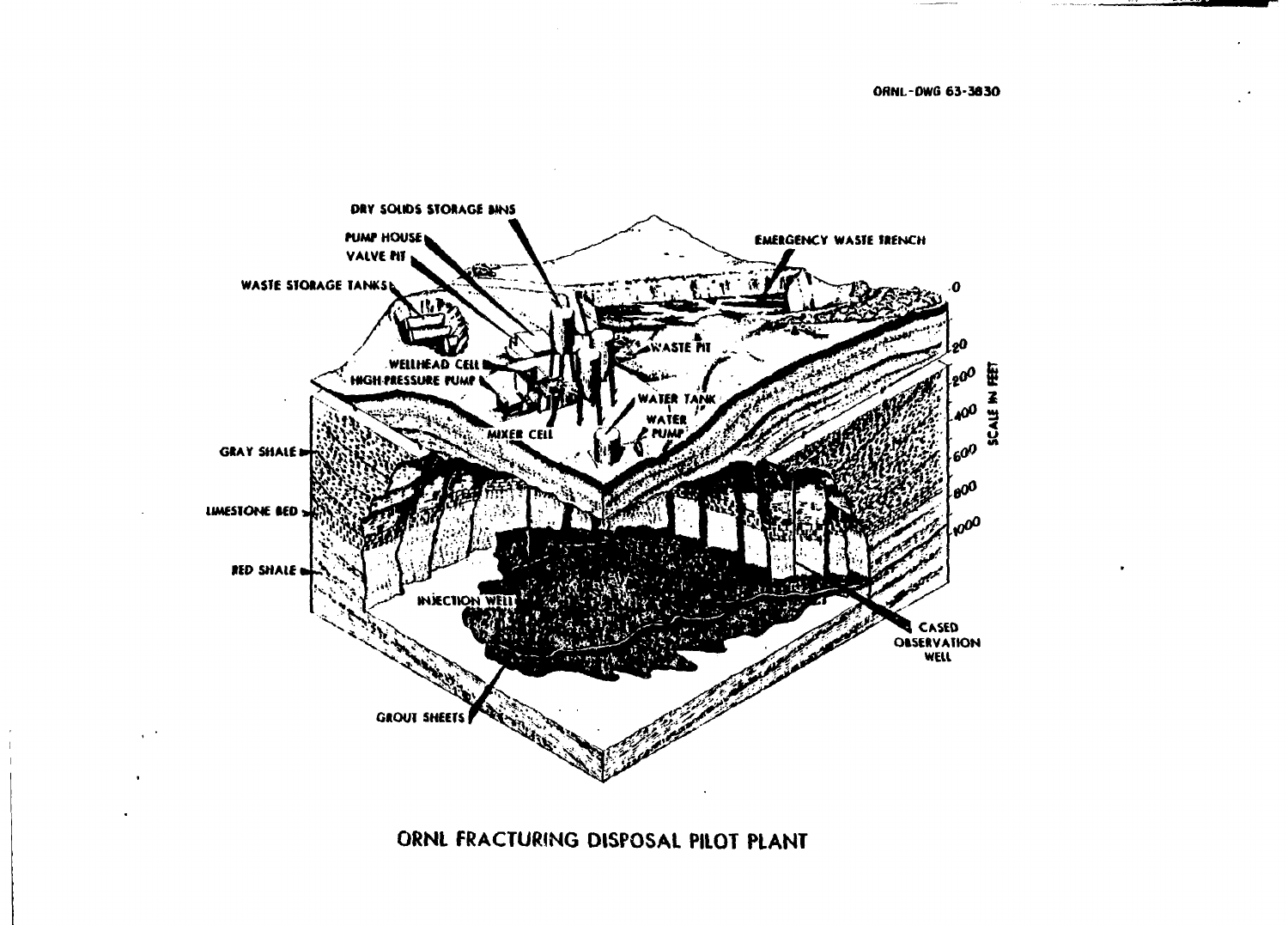

ORNL FRACTURING DISPOSAL PILOT PLANT

 $\bullet$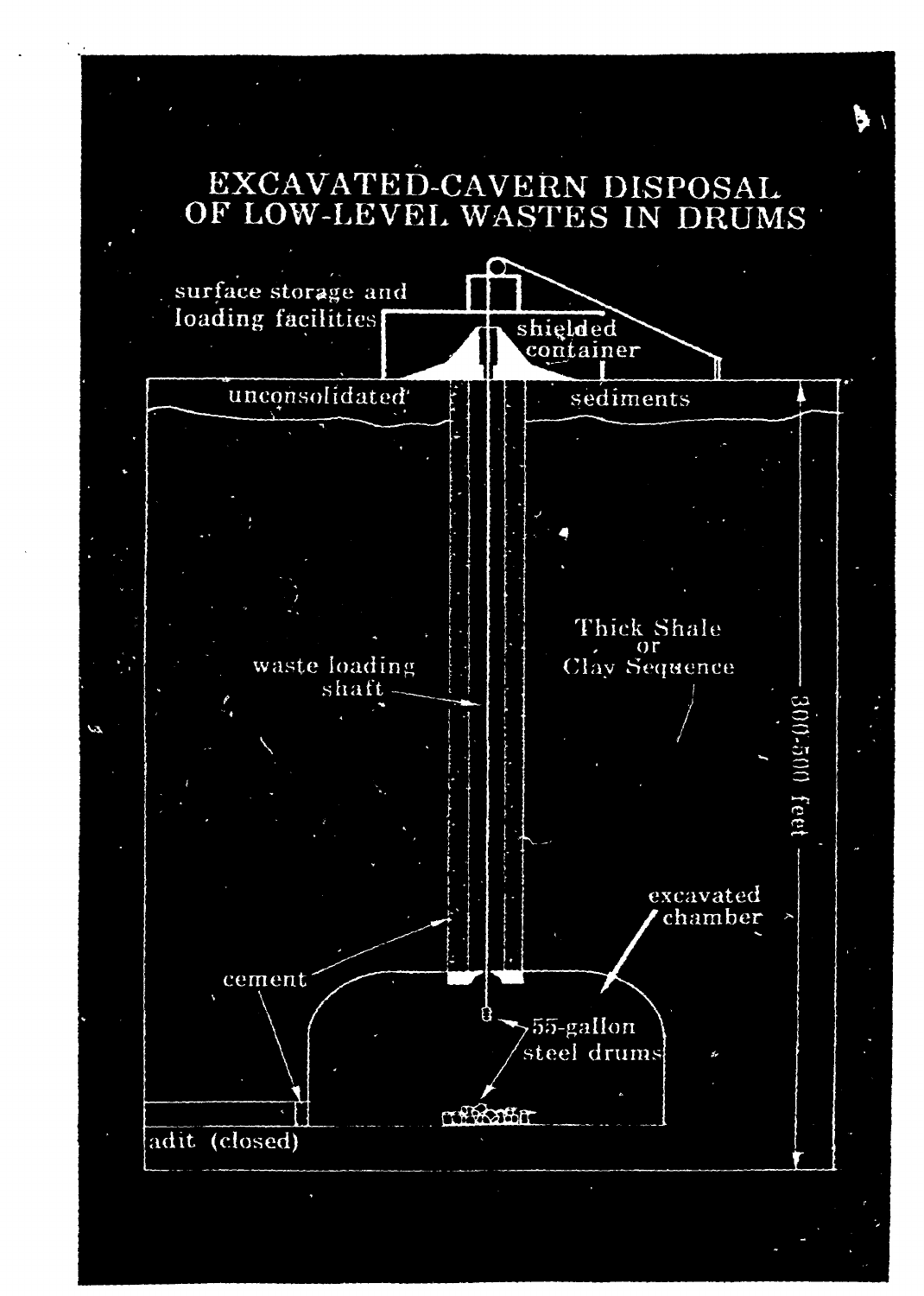# EXCAVATED-CAVERN DISPOSAL OF LOW-LEVEL WASTES LN DRUMS



ÙЪ.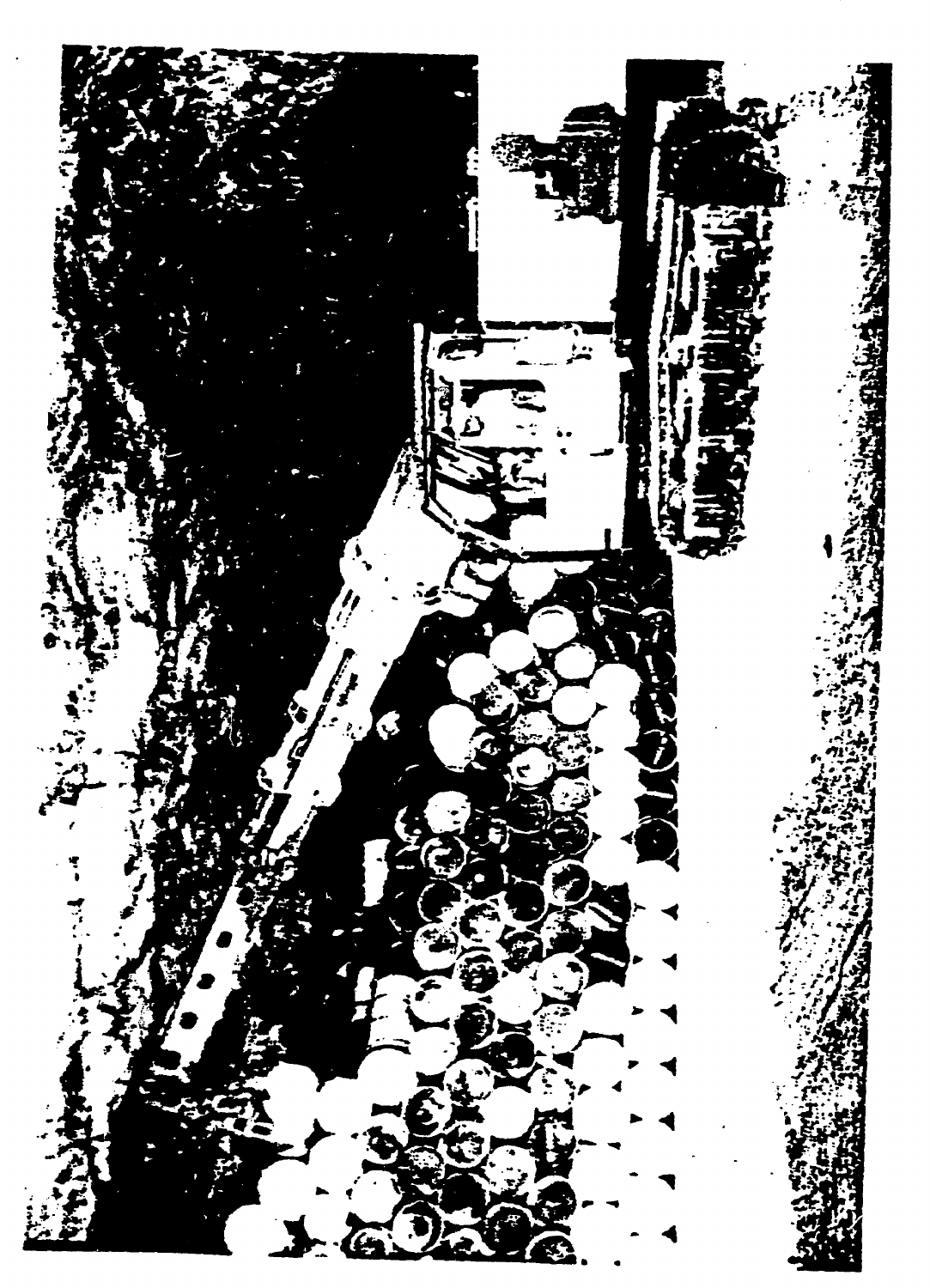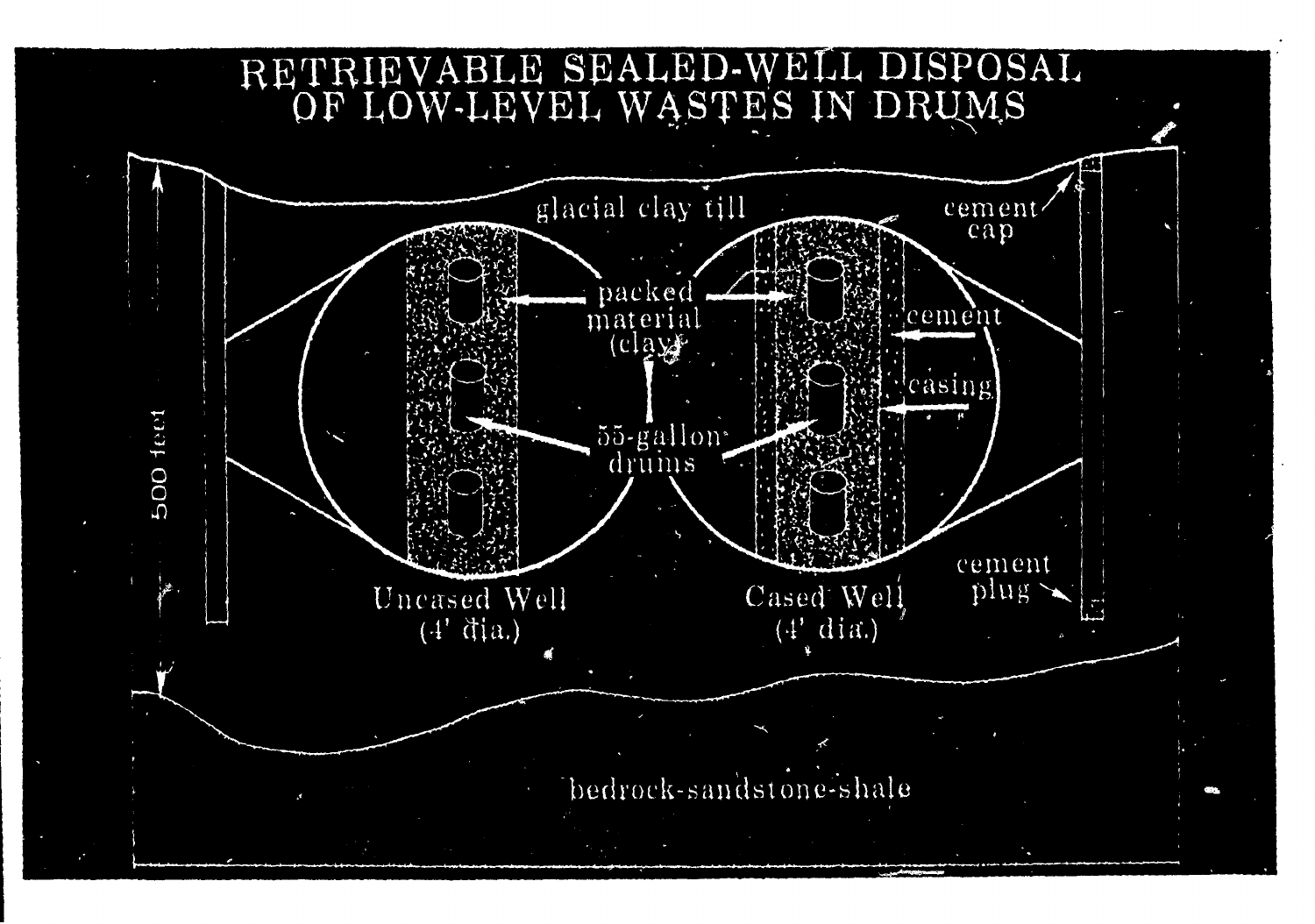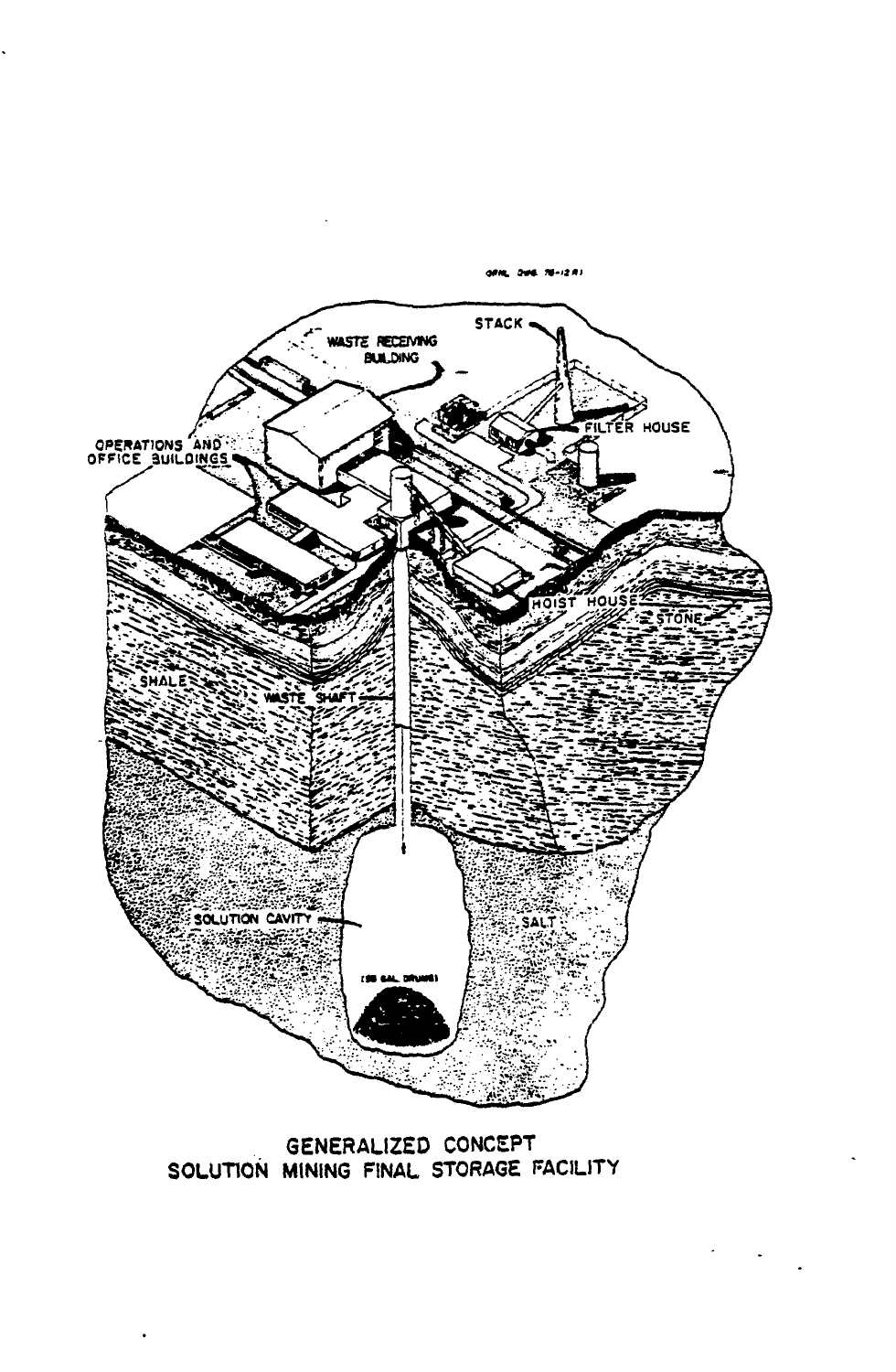![](_page_22_Figure_0.jpeg)

GENERALIZED CONCEPT SOLUTION MINING FINAL STORAGE FACILITY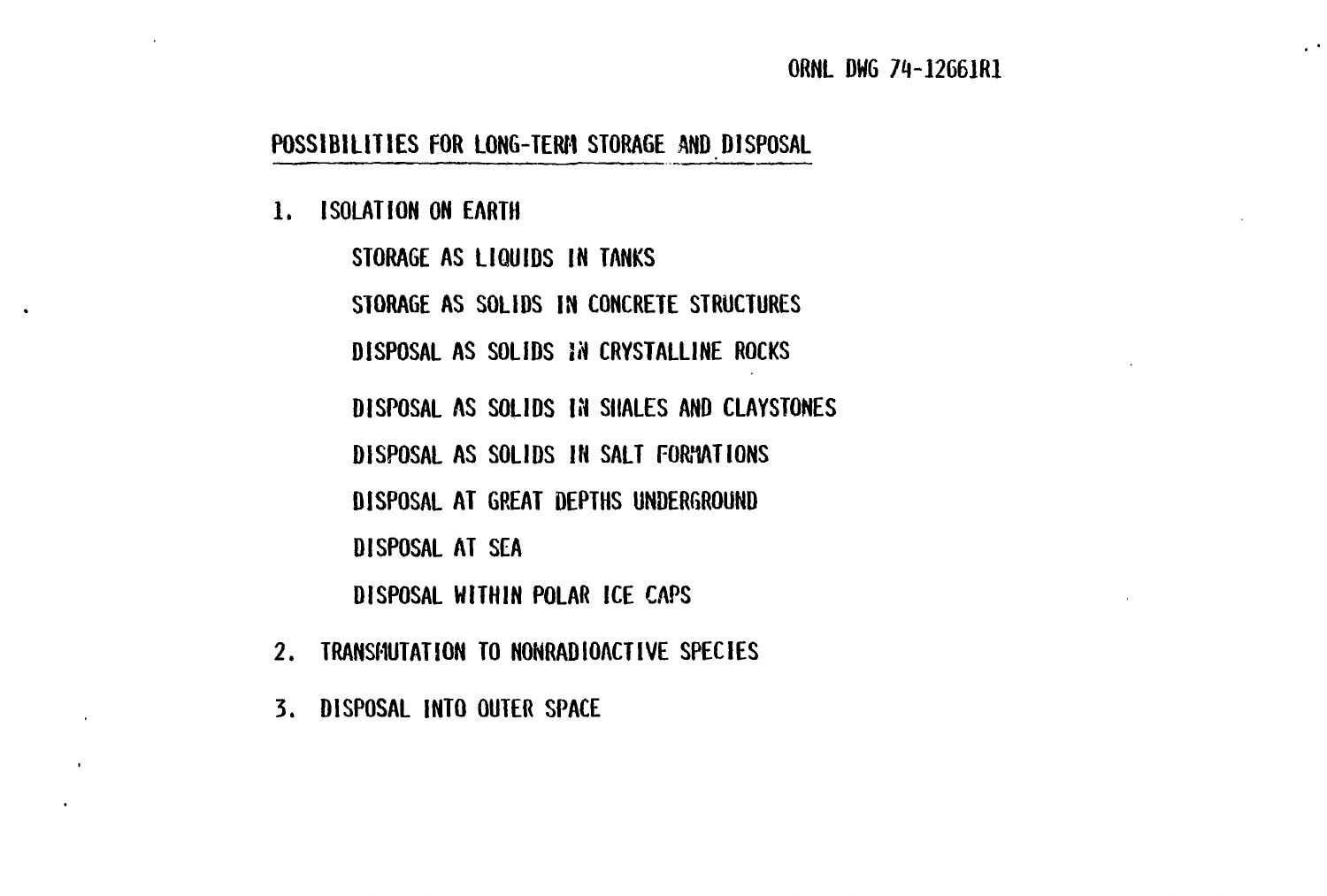### ORNL DWG 74-12661R1

 $\ddot{\phantom{1}}$ 

### POSSIBILITIES FOR LONG-TERM STORAGE AND DISPOSAL

**1. ISOLATION** ON EARTH

STORAGE AS LIQUIDS IN TANKS

STORAGE AS SOLIDS IN CONCRETE STRUCTURES

DISPOSAL AS SOLIDS IN CRYSTALLINE ROCKS

DISPOSAL AS SOLIDS IN SHALES AND CLAYSTONES

DISPOSAL AS SOLIDS IN SALT FORMATIONS

DISPOSAL AT GREAT DEPTHS UNDERGROUND

DISPOSAL AT SEA

DISPOSAL WITHIN POLAR ICE CAPS

- 2. TRANSMUTATION TO NONRAD1OACTIVE SPECIES
- 3. DISPOSAL INTO OUTER SPACE

 $\lambda$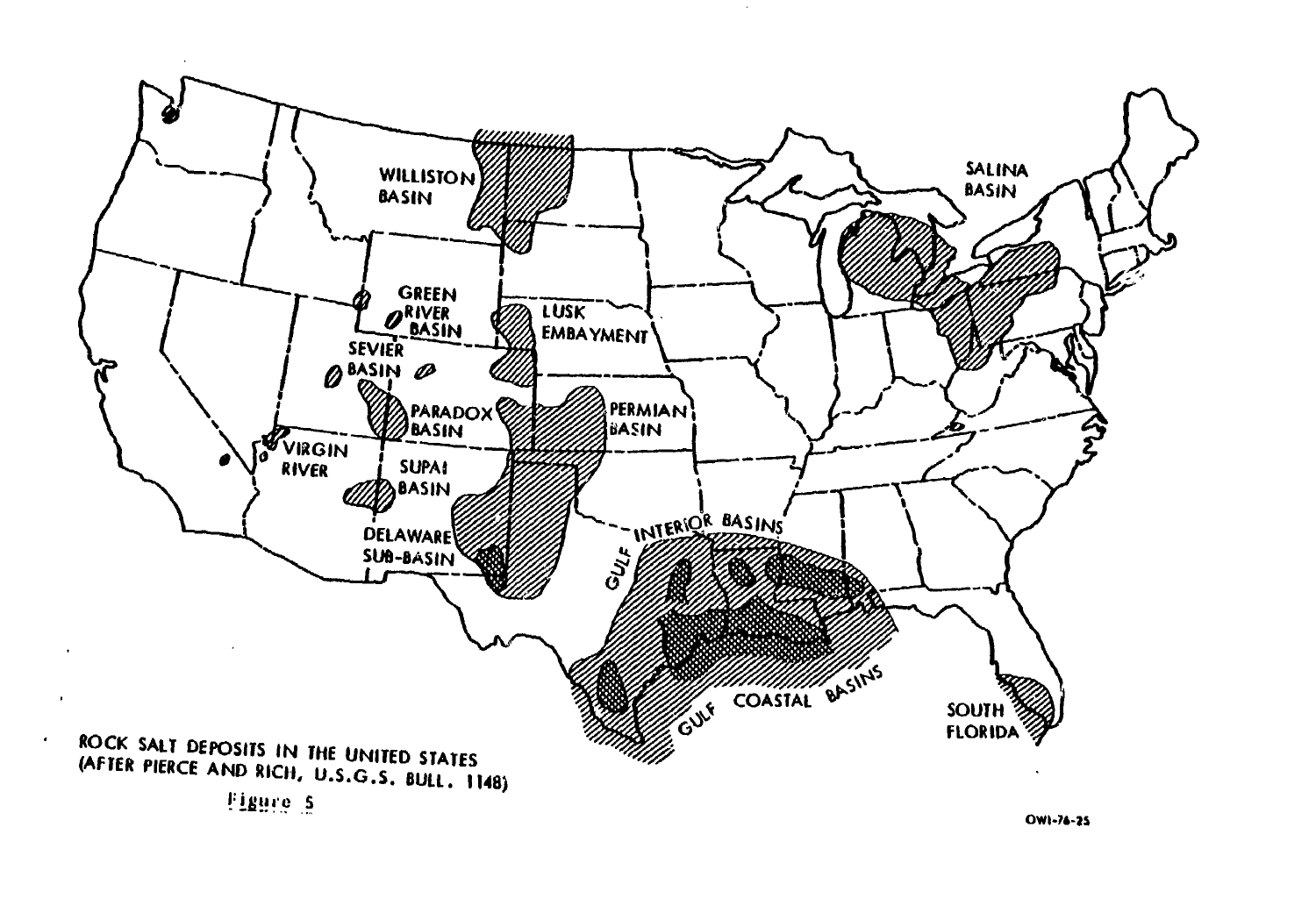![](_page_24_Figure_0.jpeg)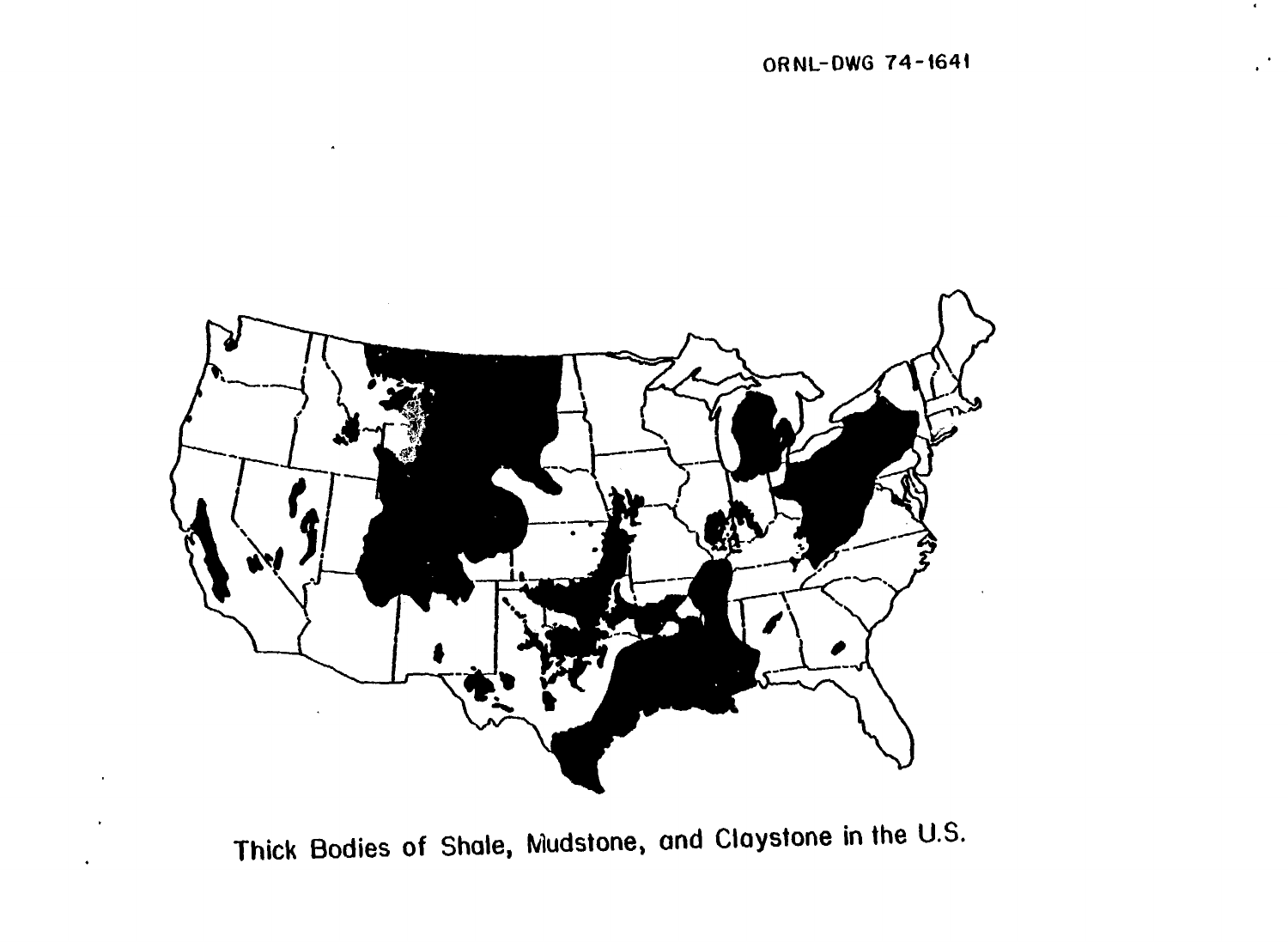![](_page_25_Picture_1.jpeg)

**Thick Bodies of Shale, Mudstone, and Claystone in the U.S.**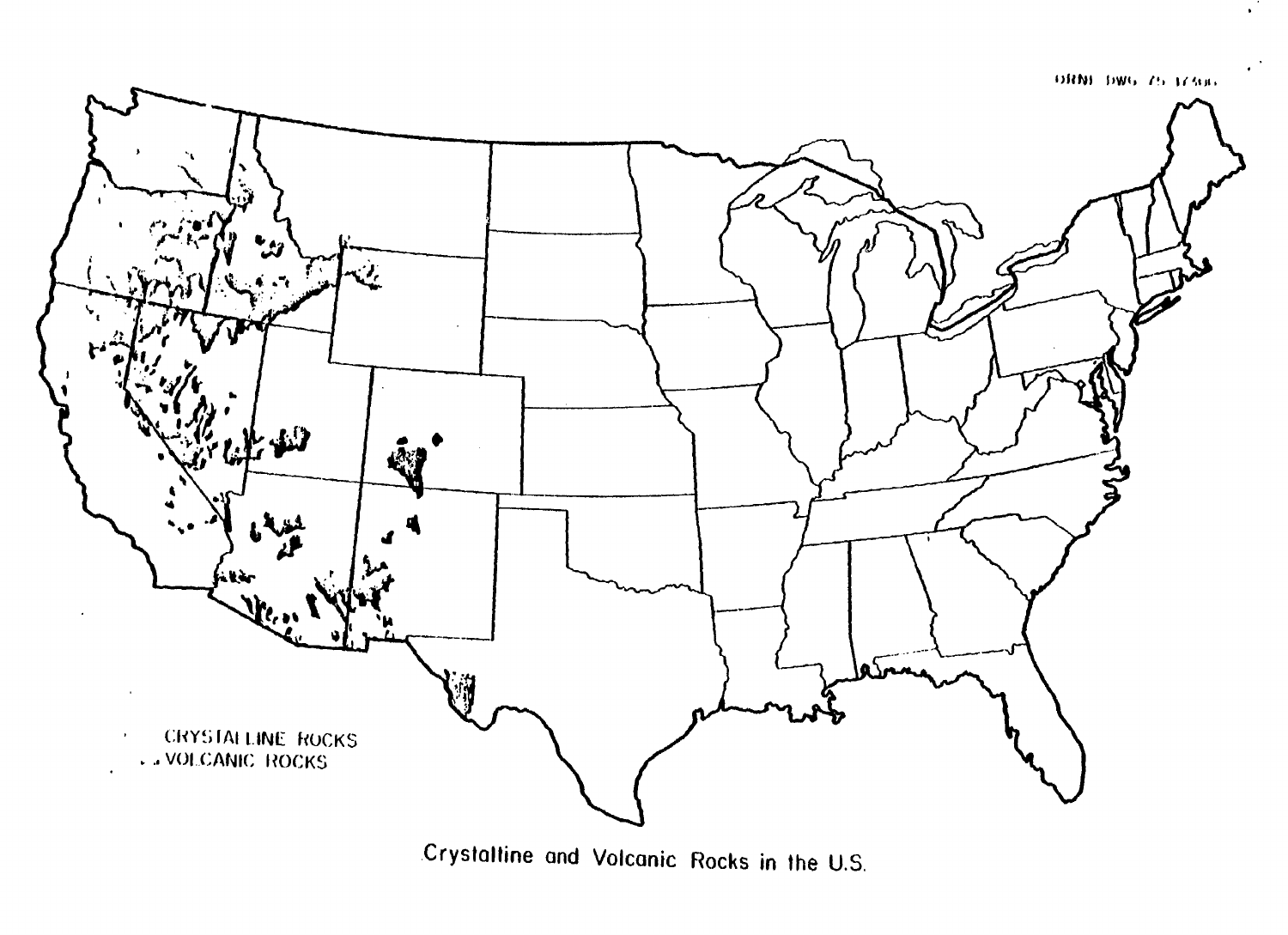![](_page_26_Figure_0.jpeg)

Crystaltine and Volcanic Rocks in the U.S.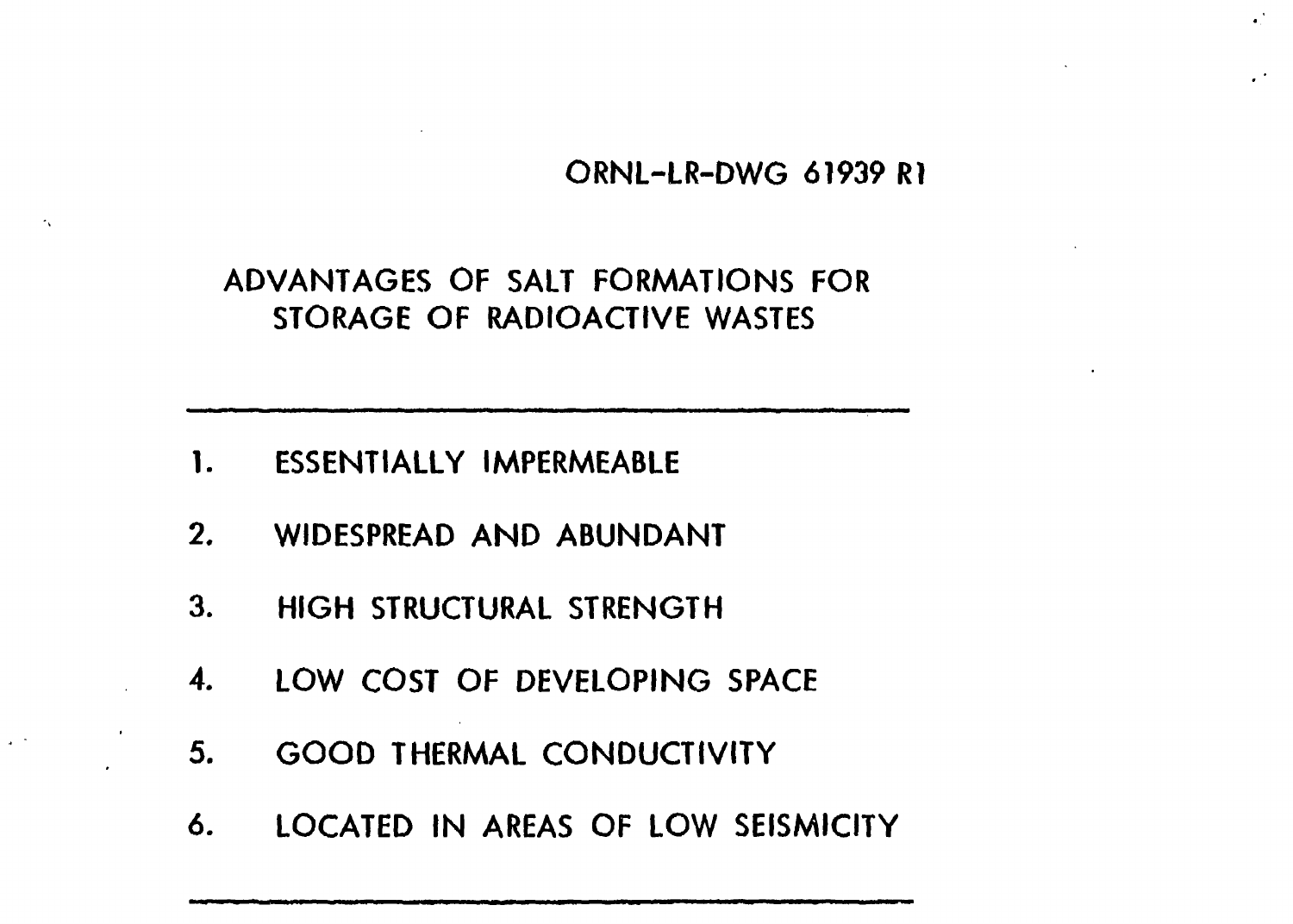**ORNL-LR-DWG 61939 R)**

 $\mathbf{A}$ 

# **ADVANTAGES OF SALT FORMATIONS FOR STORAGE OF RADIOACTIVE WASTES**

**1. ESSENTIALLY IMPERMEABLE**

 $\ddot{\phantom{a}}$ 

- **2. WIDESPREAD AND ABUNDANT**
- **3. HIGH STRUCTURAL STRENGTH**
- **4. LOW COST OF DEVELOPING SPACE**
- **5. GOOD THERMAL CONDUCTIVITY**
- **6. LOCATED IN AREAS OF LOW SEISMICITY**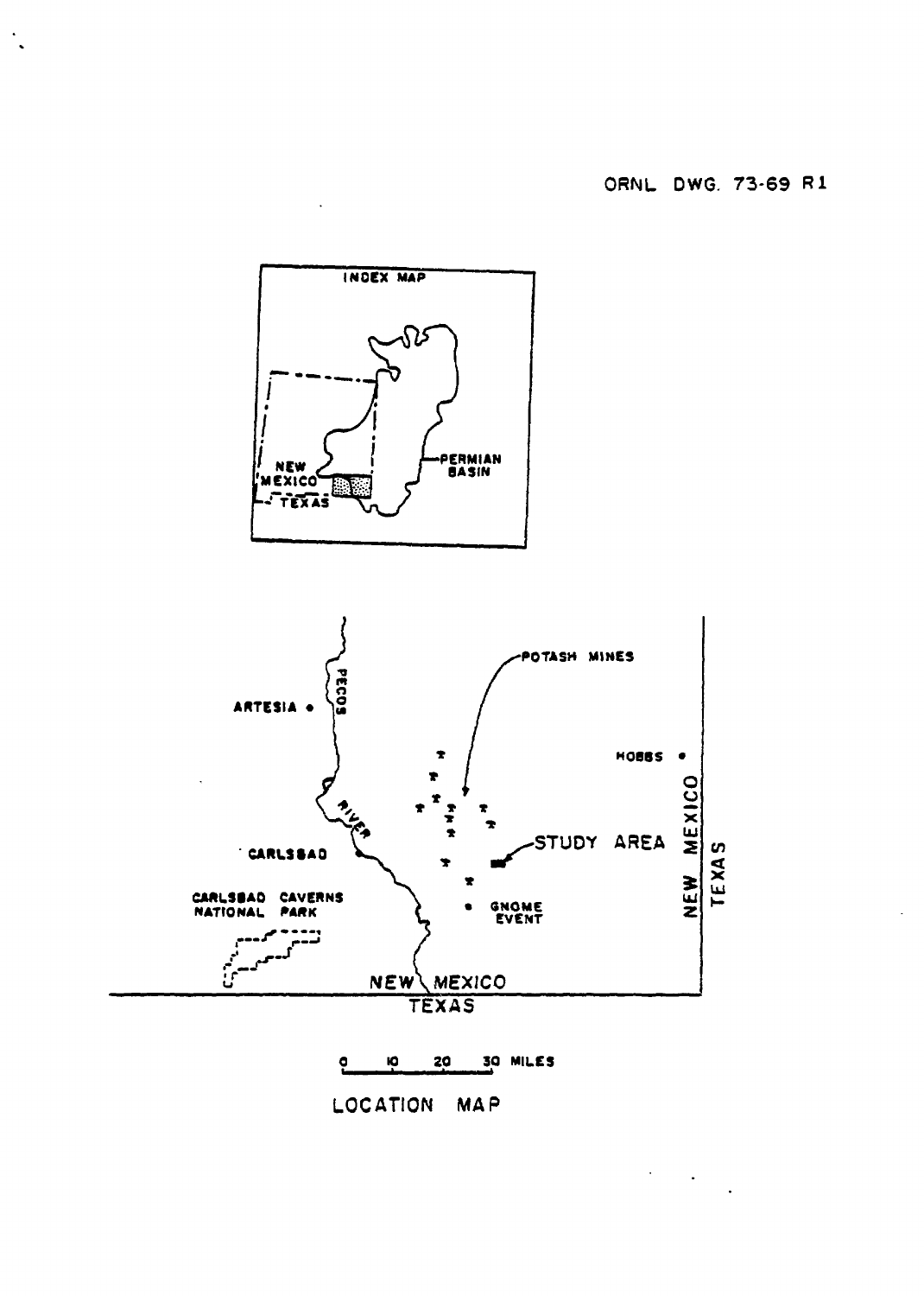$\sim 10^{11}$ 

![](_page_28_Figure_1.jpeg)

![](_page_28_Figure_2.jpeg)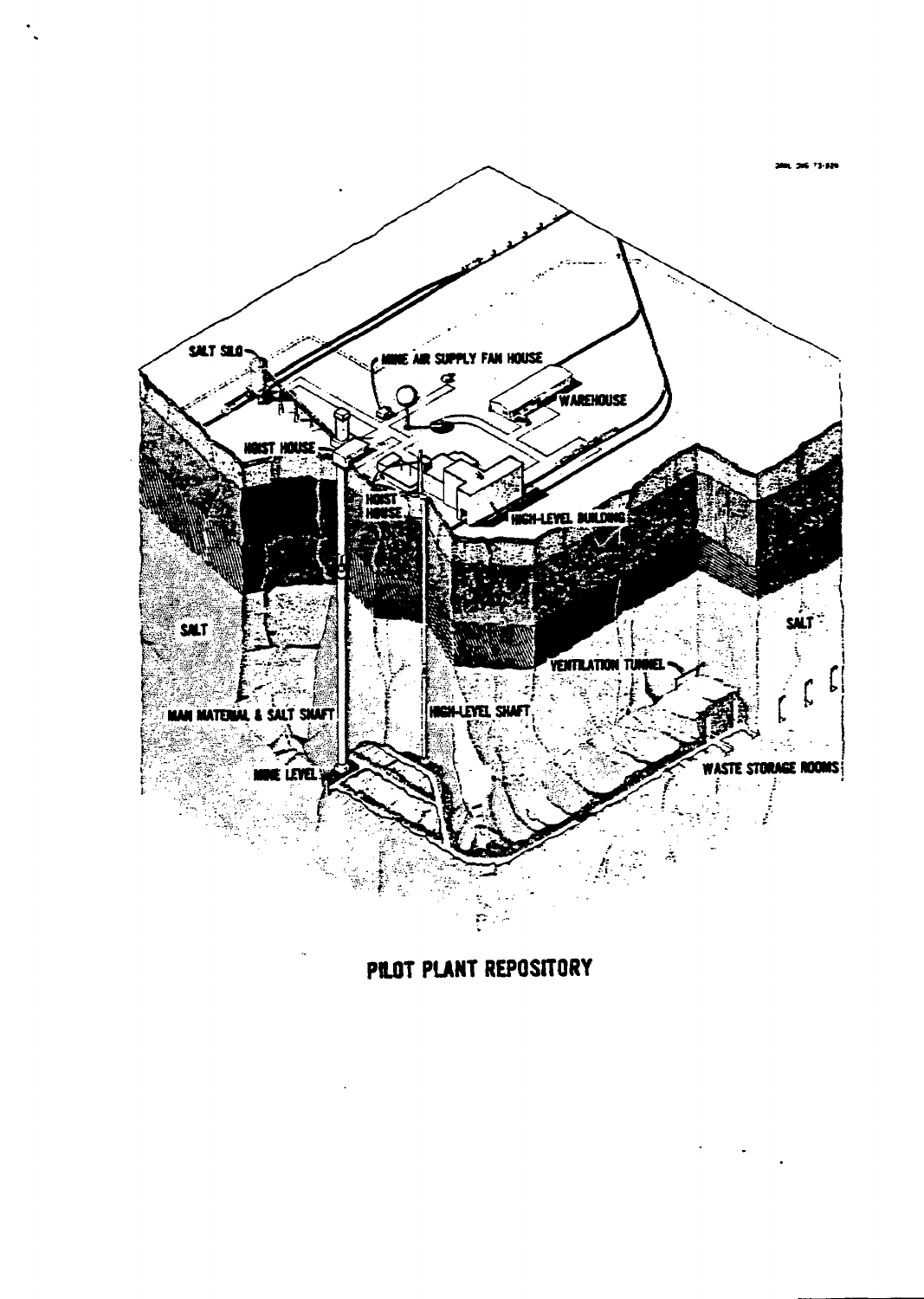![](_page_29_Figure_0.jpeg)

## PILOT PLANT REPOSITORY

 $\sigma_{\rm{eff}}=2.0$ 

 $\ddot{\phantom{0}}$ 

 $\ddot{\phantom{a}}$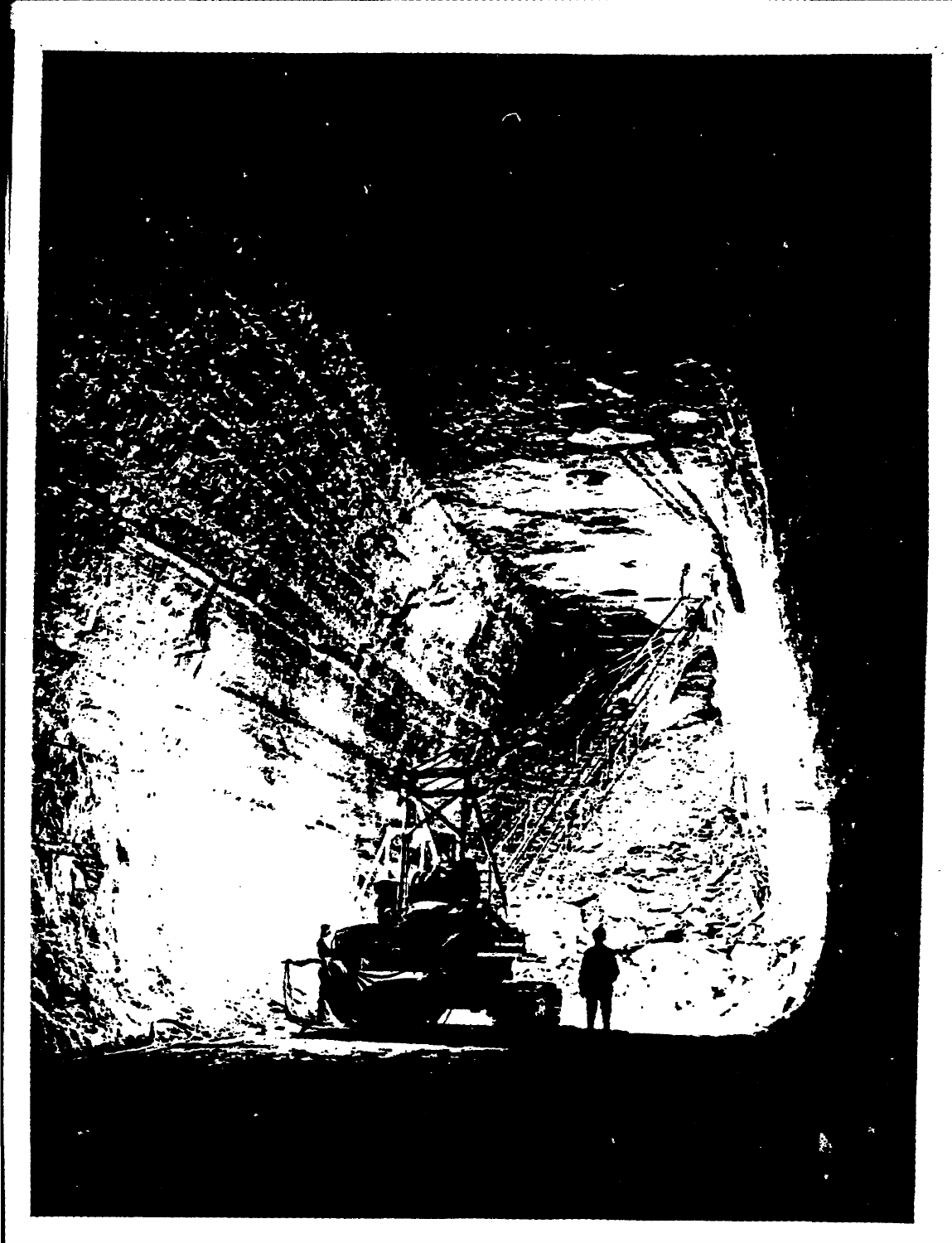![](_page_30_Picture_0.jpeg)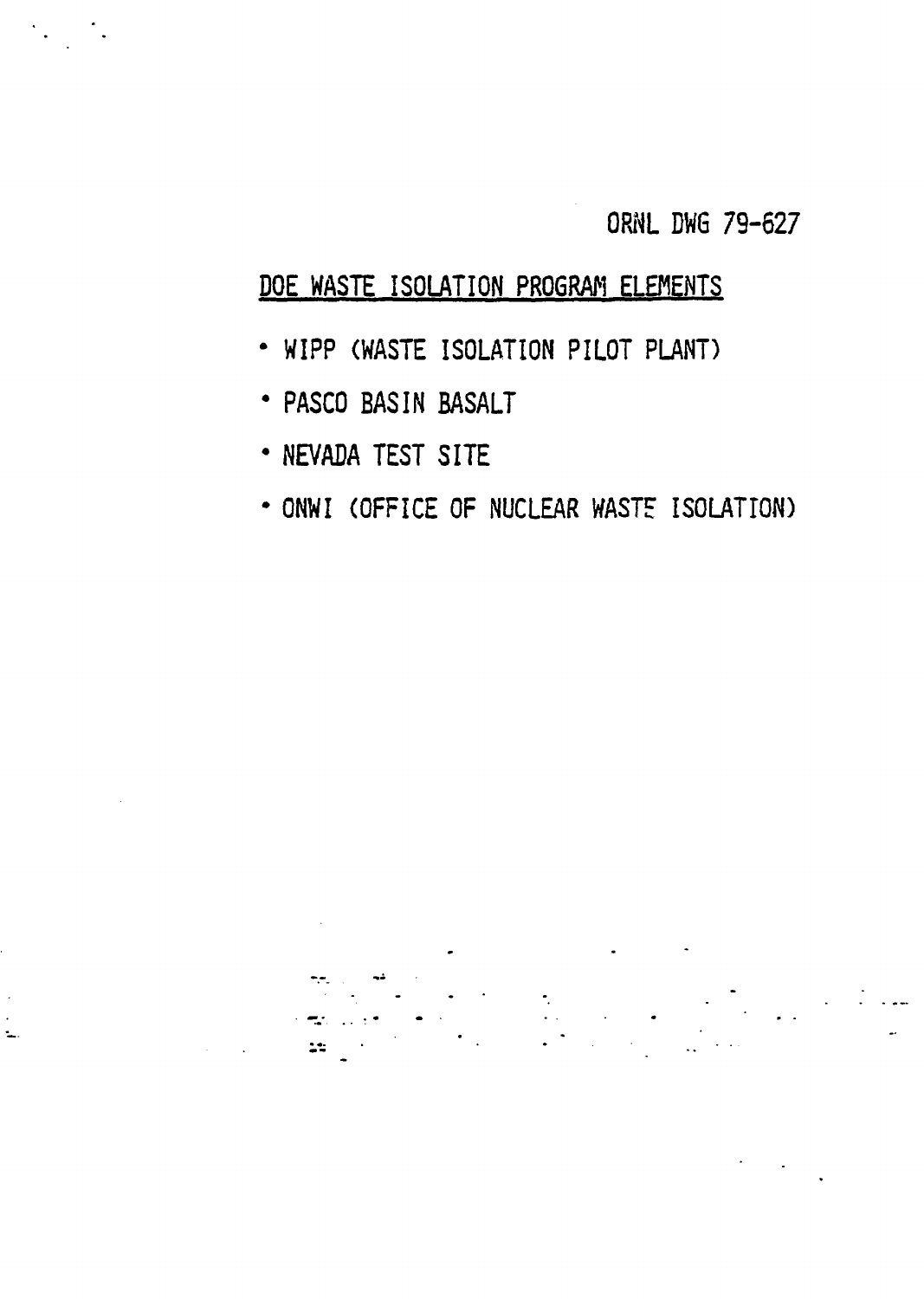## **DOE WASTE ISOLATION PROGRAM ELEMENTS**

- **WIPP (WASTE ISOLATION PILOT PLANT)**
- **PASCO BASIN BASALT**
- **NEVADA TEST SITE**

 $\mathbf{L}$ 

 $\mathcal{E}_{\mathbf{z}} = \mathcal{E}_{\mathbf{z}}$ 

 $\mathbf{L}$ 

**• ONWI (OFFICE OF NUCLEAR WASTE ISOLATION)**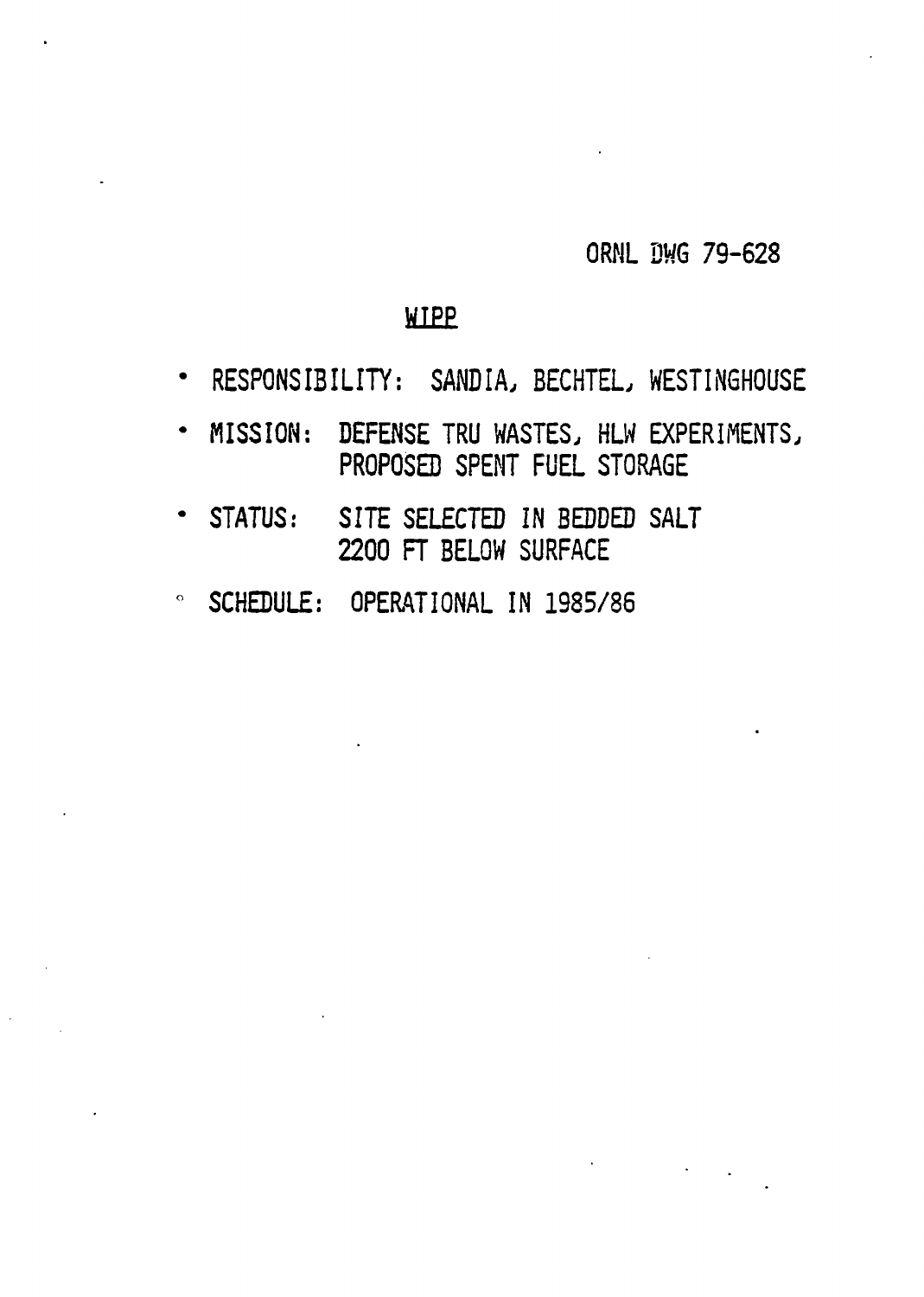$\mathcal{L}^{\text{max}}_{\text{max}}$  ,  $\mathcal{L}^{\text{max}}_{\text{max}}$ 

### **WTPP**

- **RESPONSIBILITY: SANDIA, BECHTEL, WESTIN6H0USE**  $\bullet$
- **MISSION: DEFENSE TRU WASTES, HLW EXPERIMENTS, PROPOSED SPENT FUEL STORAGE**
- **STATUS: SITE SELECTED IN BEDDED SALT**  $\bullet$ **2200 FT BELOW SURFACE**
- $\circ$ **SCHEDULE: OPERATIONAL IN 1985/86**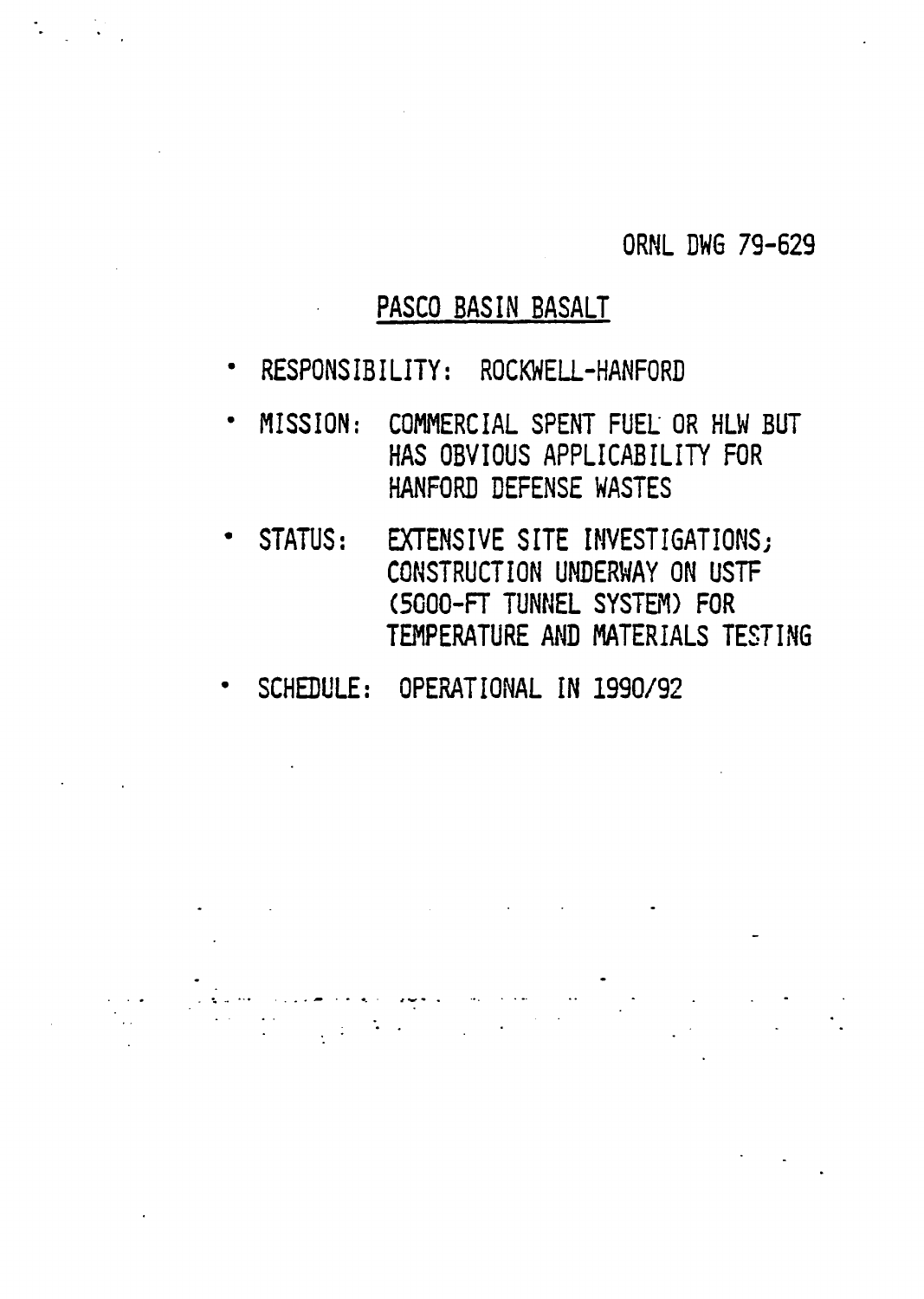### **PASCO BASIN BASALT**

**RESPONSIBILITY: ROCKWELL-HANFORD**

 $\mathcal{L}^{\text{max}}$ 

 $\mathcal{L}^{\text{max}}_{\text{max}}$  and  $\mathcal{L}^{\text{max}}_{\text{max}}$ 

- **MISSION: COMMERCIAL SPENT FUEL OR HLW BUT HAS OBVIOUS APPLICABILITY FOR HANFORD DEFENSE WASTES**
- **STATUS: EXTENSIVE SITE INVESTIGATIONS; CONSTRUCTION UNDERWAY ON USTF (5G00-FT TUNNEL SYSTEM) FOR TEMPERATURE AND MATERIALS TESTING**

 $\mathcal{L}(\mathcal{L}(\mathcal{L}(\mathcal{L}(\mathcal{L}(\mathcal{L}(\mathcal{L}(\mathcal{L}(\mathcal{L}(\mathcal{L}(\mathcal{L}(\mathcal{L}(\mathcal{L}(\mathcal{L}(\mathcal{L}(\mathcal{L}(\mathcal{L}(\mathcal{L}(\mathcal{L}(\mathcal{L}(\mathcal{L}(\mathcal{L}(\mathcal{L}(\mathcal{L}(\mathcal{L}(\mathcal{L}(\mathcal{L}(\mathcal{L}(\mathcal{L}(\mathcal{L}(\mathcal{L}(\mathcal{L}(\mathcal{L}(\mathcal{L}(\mathcal{L}(\mathcal{L}(\mathcal{$ 

**SCHEDULE: OPERATIONAL IN 1990/92**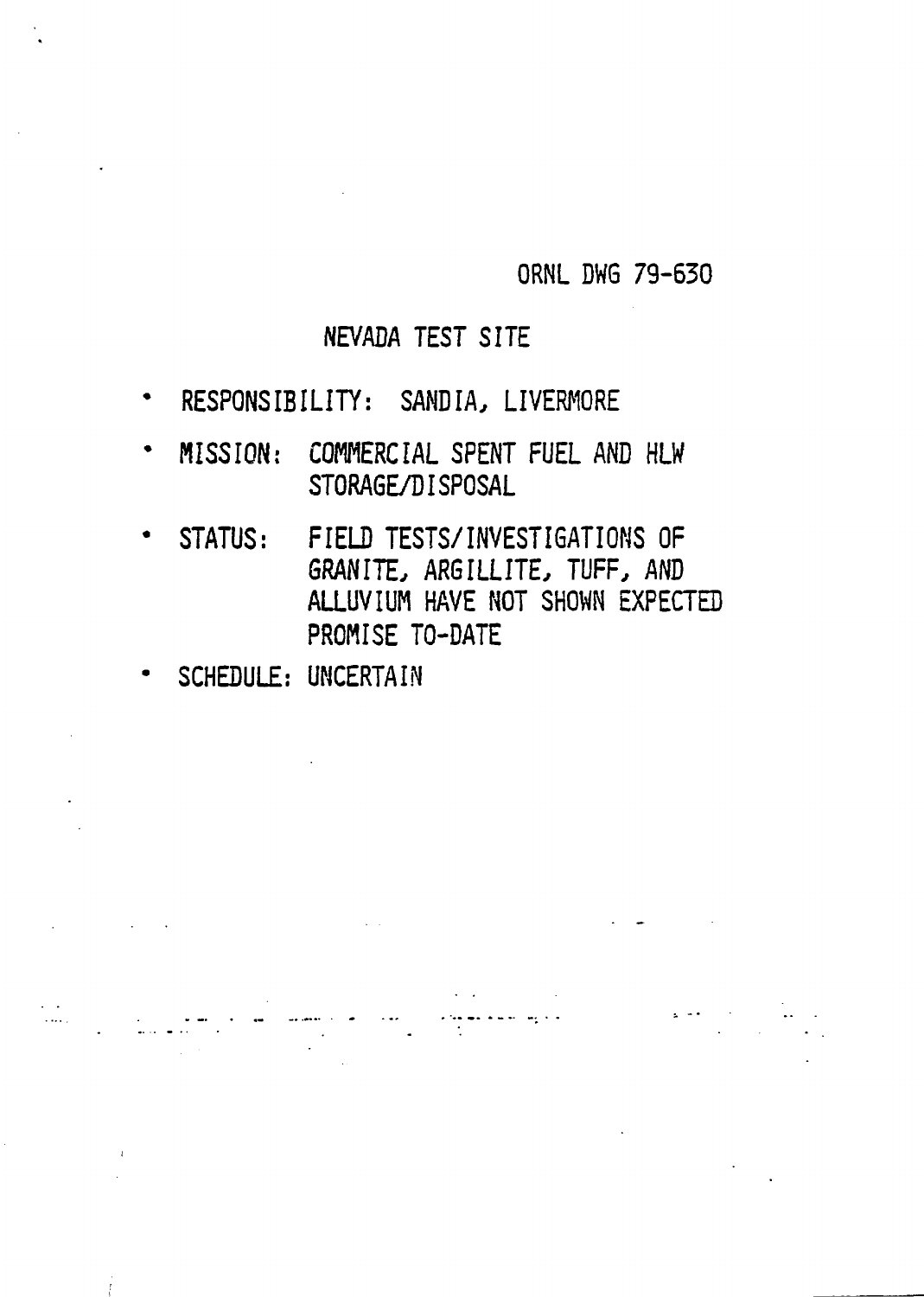$\label{eq:2} \frac{1}{\sqrt{2}}\frac{1}{\sqrt{2}}\frac{1}{\sqrt{2}}\frac{1}{\sqrt{2}}\left(\frac{1}{\sqrt{2}}\frac{1}{\sqrt{2}}\right)\frac{1}{\sqrt{2}}\frac{1}{\sqrt{2}}\frac{1}{\sqrt{2}}\frac{1}{\sqrt{2}}\frac{1}{\sqrt{2}}\frac{1}{\sqrt{2}}\frac{1}{\sqrt{2}}\frac{1}{\sqrt{2}}\frac{1}{\sqrt{2}}\frac{1}{\sqrt{2}}\frac{1}{\sqrt{2}}\frac{1}{\sqrt{2}}\frac{1}{\sqrt{2}}\frac{1}{\sqrt{2}}\frac{1}{\sqrt{2$ 

# **NEVADA TEST SITE**

- **RESPONSIBILITY: SANDIA, LIVERMORE**
- **MISSION: COMMERCIAL SPENT FUEL AND HLW STORAGE/DISPOSAL**
- **STATUS: FIELD TESTS/INVESTIGATIONS OF**  $\bullet$ **GRANITE, ARGILLITE, TUFF, AND ALLUVIUM HAVE NOT SHOWN EXPECTED PROMISE TO-DATE**

**SCHEDULE: UNCERTAIN**

المساحات المراجع<br>المراجع المساحات

 $\mathbf{L}$ 

 $\frac{1}{3}$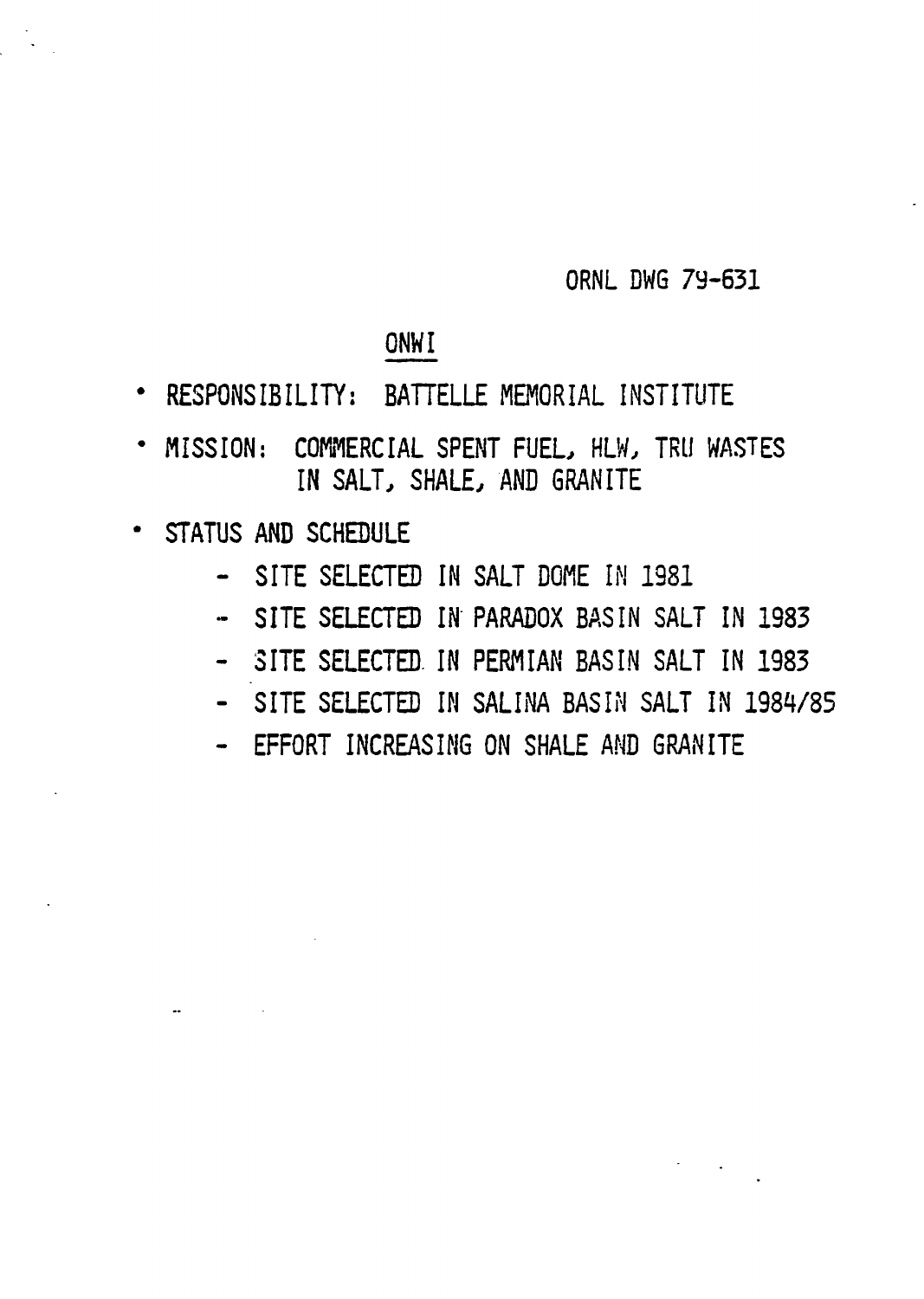## **ONWI**

- **RESPONSIBILITY: BATTELLE MEMORIAL INSTITUTE**
- **MISSION: COMMERCIAL SPENT FUEL, HIX TRU WASTES IN SALT, SHALE, AND GRANITE**
- **STATUS AND SCHEDULE**

 $\mathbb{R}^2$ 

- **SITE SELECTED IN SALT DOME IN 1981**
- **SITE SELECTED IN PARADOX BASIN SALT IN 1983**
- **SITE SELECTED. IN PERMIAN BASIN SALT IN 1983**
- **SITE SELECTED IN SALINA BASIN SALT IN 1984/85**
- **EFFORT INCREASING OH SHALE AND GRANITE**